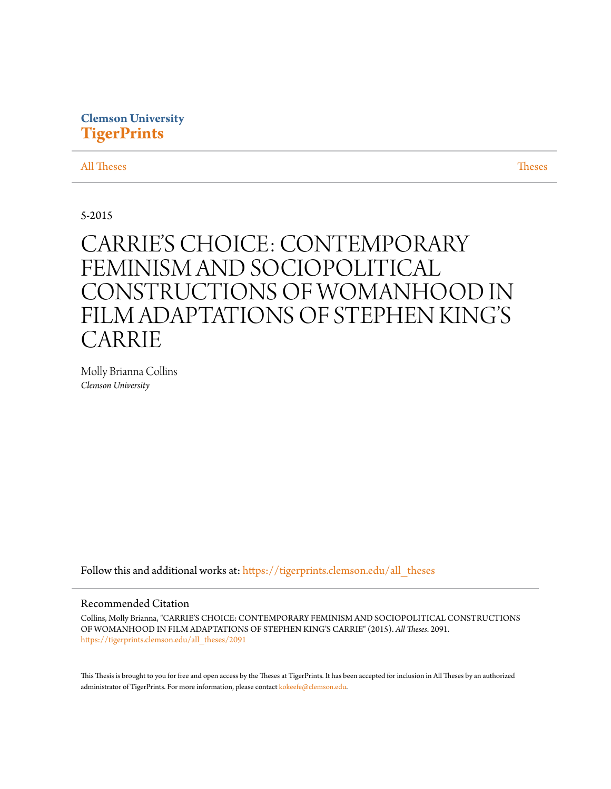# **Clemson University [TigerPrints](https://tigerprints.clemson.edu?utm_source=tigerprints.clemson.edu%2Fall_theses%2F2091&utm_medium=PDF&utm_campaign=PDFCoverPages)**

[All Theses](https://tigerprints.clemson.edu/all_theses?utm_source=tigerprints.clemson.edu%2Fall_theses%2F2091&utm_medium=PDF&utm_campaign=PDFCoverPages) **[Theses](https://tigerprints.clemson.edu/theses?utm_source=tigerprints.clemson.edu%2Fall_theses%2F2091&utm_medium=PDF&utm_campaign=PDFCoverPages)** 

5-2015

# CARRIE'S CHOICE: CONTEMPORARY FEMINISM AND SOCIOPOLITICAL CONSTRUCTIONS OF WOMANHOOD IN FILM ADAPTATIONS OF STEPHEN KING'S CARRIE

Molly Brianna Collins *Clemson University*

Follow this and additional works at: [https://tigerprints.clemson.edu/all\\_theses](https://tigerprints.clemson.edu/all_theses?utm_source=tigerprints.clemson.edu%2Fall_theses%2F2091&utm_medium=PDF&utm_campaign=PDFCoverPages)

# Recommended Citation

Collins, Molly Brianna, "CARRIE'S CHOICE: CONTEMPORARY FEMINISM AND SOCIOPOLITICAL CONSTRUCTIONS OF WOMANHOOD IN FILM ADAPTATIONS OF STEPHEN KING'S CARRIE" (2015). *All Theses*. 2091. [https://tigerprints.clemson.edu/all\\_theses/2091](https://tigerprints.clemson.edu/all_theses/2091?utm_source=tigerprints.clemson.edu%2Fall_theses%2F2091&utm_medium=PDF&utm_campaign=PDFCoverPages)

This Thesis is brought to you for free and open access by the Theses at TigerPrints. It has been accepted for inclusion in All Theses by an authorized administrator of TigerPrints. For more information, please contact [kokeefe@clemson.edu](mailto:kokeefe@clemson.edu).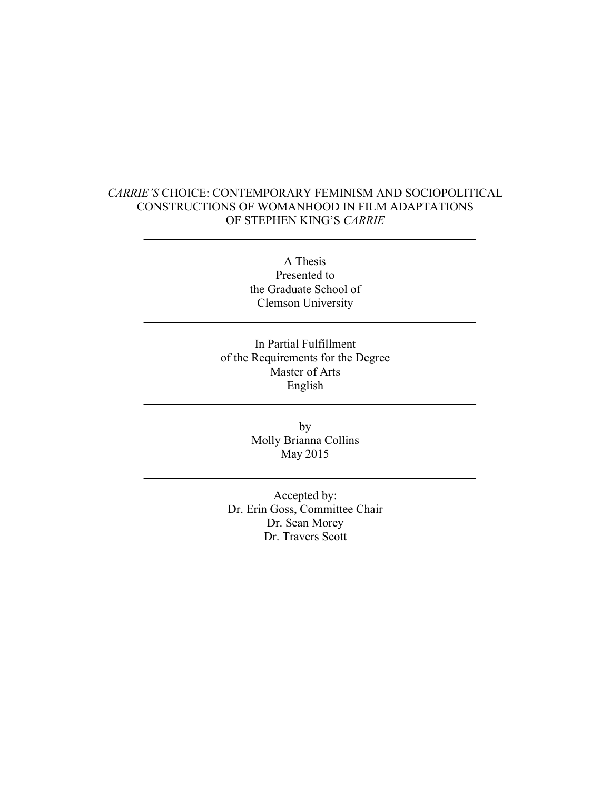# *CARRIE'S* CHOICE: CONTEMPORARY FEMINISM AND SOCIOPOLITICAL CONSTRUCTIONS OF WOMANHOOD IN FILM ADAPTATIONS OF STEPHEN KING'S *CARRIE*

A Thesis Presented to the Graduate School of Clemson University

In Partial Fulfillment of the Requirements for the Degree Master of Arts English

> by Molly Brianna Collins May 2015

Accepted by: Dr. Erin Goss, Committee Chair Dr. Sean Morey Dr. Travers Scott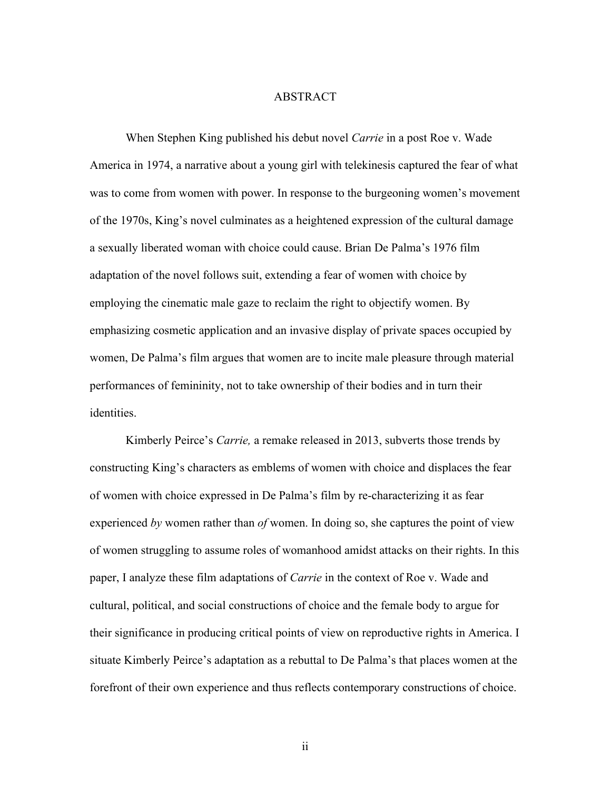## ABSTRACT

When Stephen King published his debut novel *Carrie* in a post Roe v. Wade America in 1974, a narrative about a young girl with telekinesis captured the fear of what was to come from women with power. In response to the burgeoning women's movement of the 1970s, King's novel culminates as a heightened expression of the cultural damage a sexually liberated woman with choice could cause. Brian De Palma's 1976 film adaptation of the novel follows suit, extending a fear of women with choice by employing the cinematic male gaze to reclaim the right to objectify women. By emphasizing cosmetic application and an invasive display of private spaces occupied by women, De Palma's film argues that women are to incite male pleasure through material performances of femininity, not to take ownership of their bodies and in turn their identities.

Kimberly Peirce's *Carrie,* a remake released in 2013, subverts those trends by constructing King's characters as emblems of women with choice and displaces the fear of women with choice expressed in De Palma's film by re-characterizing it as fear experienced *by* women rather than *of* women. In doing so, she captures the point of view of women struggling to assume roles of womanhood amidst attacks on their rights. In this paper, I analyze these film adaptations of *Carrie* in the context of Roe v. Wade and cultural, political, and social constructions of choice and the female body to argue for their significance in producing critical points of view on reproductive rights in America. I situate Kimberly Peirce's adaptation as a rebuttal to De Palma's that places women at the forefront of their own experience and thus reflects contemporary constructions of choice.

ii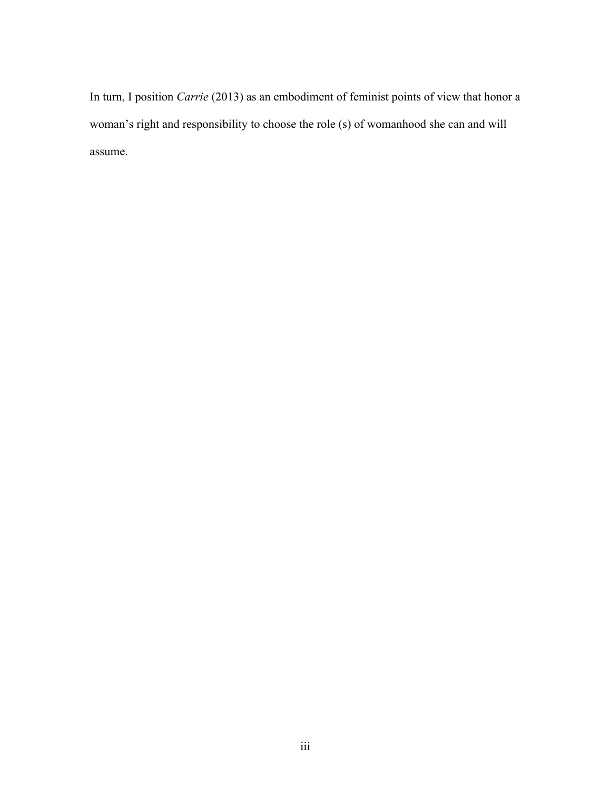In turn, I position *Carrie* (2013) as an embodiment of feminist points of view that honor a woman's right and responsibility to choose the role (s) of womanhood she can and will assume.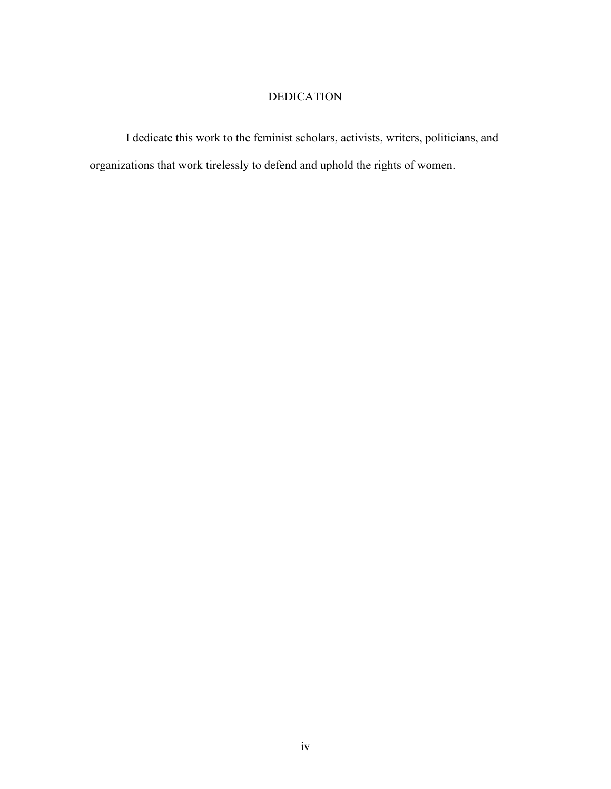# DEDICATION

I dedicate this work to the feminist scholars, activists, writers, politicians, and organizations that work tirelessly to defend and uphold the rights of women.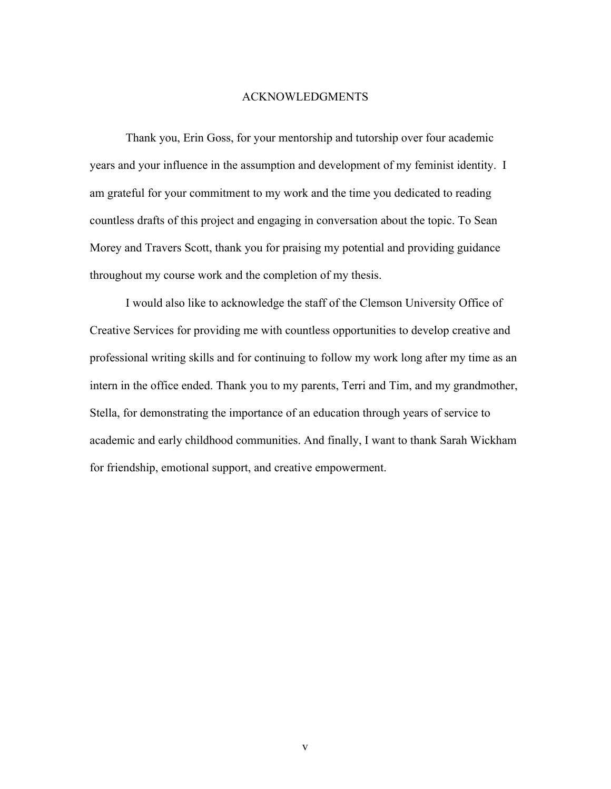## ACKNOWLEDGMENTS

Thank you, Erin Goss, for your mentorship and tutorship over four academic years and your influence in the assumption and development of my feminist identity. I am grateful for your commitment to my work and the time you dedicated to reading countless drafts of this project and engaging in conversation about the topic. To Sean Morey and Travers Scott, thank you for praising my potential and providing guidance throughout my course work and the completion of my thesis.

I would also like to acknowledge the staff of the Clemson University Office of Creative Services for providing me with countless opportunities to develop creative and professional writing skills and for continuing to follow my work long after my time as an intern in the office ended. Thank you to my parents, Terri and Tim, and my grandmother, Stella, for demonstrating the importance of an education through years of service to academic and early childhood communities. And finally, I want to thank Sarah Wickham for friendship, emotional support, and creative empowerment.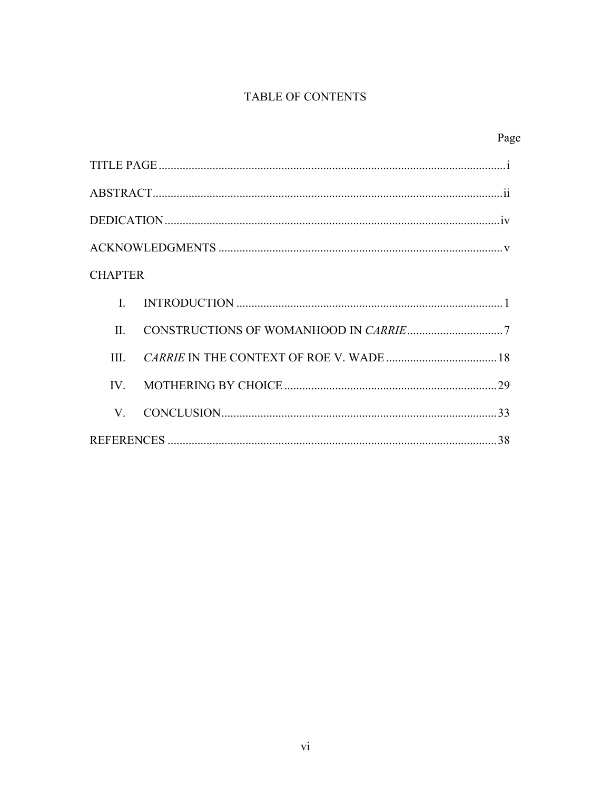# TABLE OF CONTENTS

| Page           |  |
|----------------|--|
|                |  |
|                |  |
|                |  |
|                |  |
| <b>CHAPTER</b> |  |
| $\mathbf{I}$   |  |
| $\mathbf{H}$   |  |
| III            |  |
| $IV_{-}$       |  |
| V.             |  |
|                |  |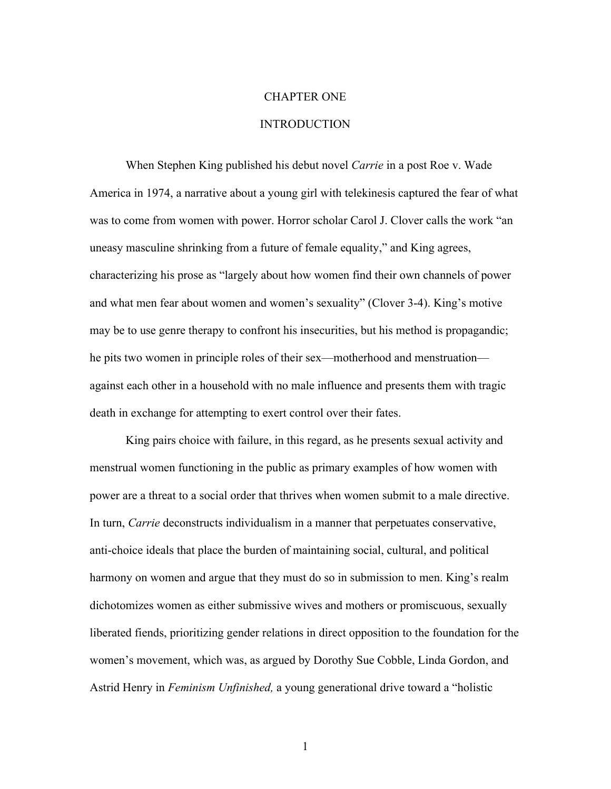# CHAPTER ONE

# INTRODUCTION

When Stephen King published his debut novel *Carrie* in a post Roe v. Wade America in 1974, a narrative about a young girl with telekinesis captured the fear of what was to come from women with power. Horror scholar Carol J. Clover calls the work "an uneasy masculine shrinking from a future of female equality," and King agrees, characterizing his prose as "largely about how women find their own channels of power and what men fear about women and women's sexuality" (Clover 3-4). King's motive may be to use genre therapy to confront his insecurities, but his method is propagandic; he pits two women in principle roles of their sex—motherhood and menstruation against each other in a household with no male influence and presents them with tragic death in exchange for attempting to exert control over their fates.

King pairs choice with failure, in this regard, as he presents sexual activity and menstrual women functioning in the public as primary examples of how women with power are a threat to a social order that thrives when women submit to a male directive. In turn, *Carrie* deconstructs individualism in a manner that perpetuates conservative, anti-choice ideals that place the burden of maintaining social, cultural, and political harmony on women and argue that they must do so in submission to men. King's realm dichotomizes women as either submissive wives and mothers or promiscuous, sexually liberated fiends, prioritizing gender relations in direct opposition to the foundation for the women's movement, which was, as argued by Dorothy Sue Cobble, Linda Gordon, and Astrid Henry in *Feminism Unfinished,* a young generational drive toward a "holistic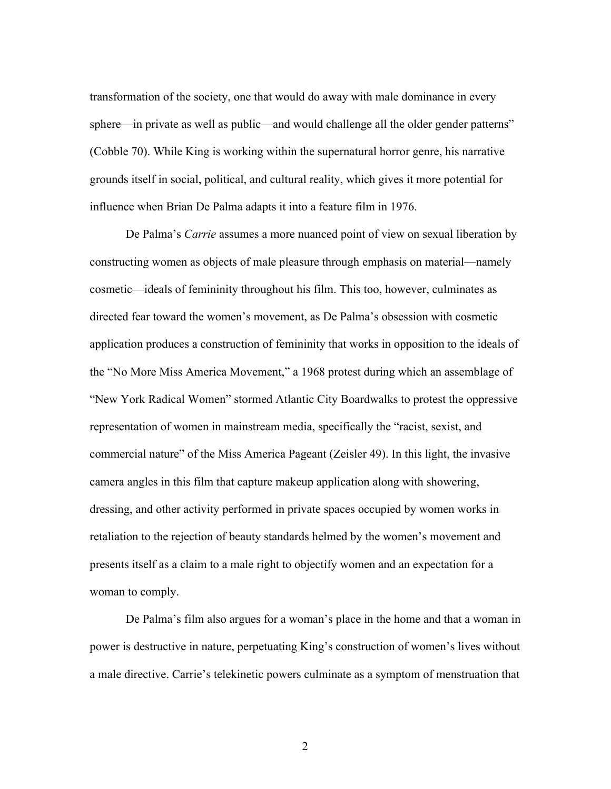transformation of the society, one that would do away with male dominance in every sphere—in private as well as public—and would challenge all the older gender patterns" (Cobble 70). While King is working within the supernatural horror genre, his narrative grounds itself in social, political, and cultural reality, which gives it more potential for influence when Brian De Palma adapts it into a feature film in 1976.

De Palma's *Carrie* assumes a more nuanced point of view on sexual liberation by constructing women as objects of male pleasure through emphasis on material—namely cosmetic—ideals of femininity throughout his film. This too, however, culminates as directed fear toward the women's movement, as De Palma's obsession with cosmetic application produces a construction of femininity that works in opposition to the ideals of the "No More Miss America Movement," a 1968 protest during which an assemblage of "New York Radical Women" stormed Atlantic City Boardwalks to protest the oppressive representation of women in mainstream media, specifically the "racist, sexist, and commercial nature" of the Miss America Pageant (Zeisler 49). In this light, the invasive camera angles in this film that capture makeup application along with showering, dressing, and other activity performed in private spaces occupied by women works in retaliation to the rejection of beauty standards helmed by the women's movement and presents itself as a claim to a male right to objectify women and an expectation for a woman to comply.

De Palma's film also argues for a woman's place in the home and that a woman in power is destructive in nature, perpetuating King's construction of women's lives without a male directive. Carrie's telekinetic powers culminate as a symptom of menstruation that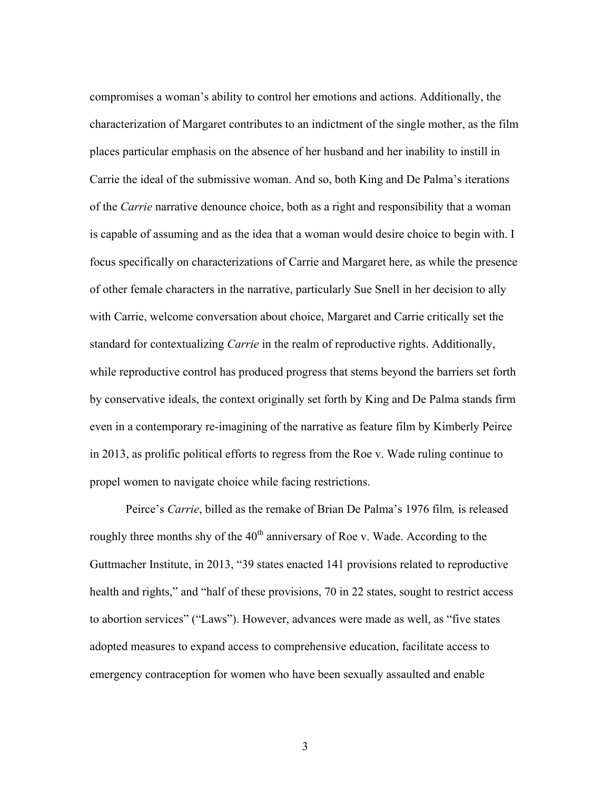compromises a woman's ability to control her emotions and actions. Additionally, the characterization of Margaret contributes to an indictment of the single mother, as the film places particular emphasis on the absence of her husband and her inability to instill in Carrie the ideal of the submissive woman. And so, both King and De Palma's iterations of the *Carrie* narrative denounce choice, both as a right and responsibility that a woman is capable of assuming and as the idea that a woman would desire choice to begin with. I focus specifically on characterizations of Carrie and Margaret here, as while the presence of other female characters in the narrative, particularly Sue Snell in her decision to ally with Carrie, welcome conversation about choice, Margaret and Carrie critically set the standard for contextualizing *Carrie* in the realm of reproductive rights. Additionally, while reproductive control has produced progress that stems beyond the barriers set forth by conservative ideals, the context originally set forth by King and De Palma stands firm even in a contemporary re-imagining of the narrative as feature film by Kimberly Peirce in 2013, as prolific political efforts to regress from the Roe v. Wade ruling continue to propel women to navigate choice while facing restrictions.

Peirce's *Carrie*, billed as the remake of Brian De Palma's 1976 film*,* is released roughly three months shy of the 40<sup>th</sup> anniversary of Roe v. Wade. According to the Guttmacher Institute, in 2013, "39 states enacted 141 provisions related to reproductive health and rights," and "half of these provisions, 70 in 22 states, sought to restrict access to abortion services" ("Laws"). However, advances were made as well, as "five states adopted measures to expand access to comprehensive education, facilitate access to emergency contraception for women who have been sexually assaulted and enable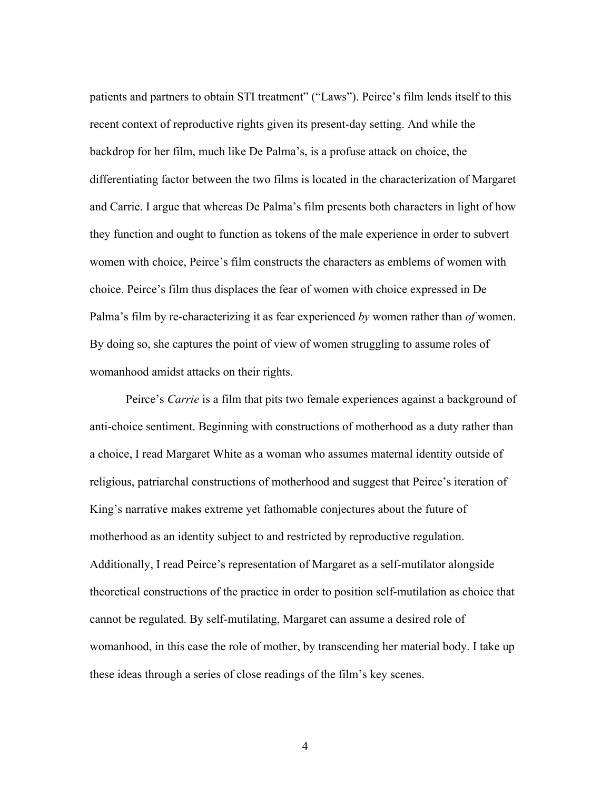patients and partners to obtain STI treatment" ("Laws"). Peirce's film lends itself to this recent context of reproductive rights given its present-day setting. And while the backdrop for her film, much like De Palma's, is a profuse attack on choice, the differentiating factor between the two films is located in the characterization of Margaret and Carrie. I argue that whereas De Palma's film presents both characters in light of how they function and ought to function as tokens of the male experience in order to subvert women with choice, Peirce's film constructs the characters as emblems of women with choice. Peirce's film thus displaces the fear of women with choice expressed in De Palma's film by re-characterizing it as fear experienced *by* women rather than *of* women. By doing so, she captures the point of view of women struggling to assume roles of womanhood amidst attacks on their rights.

Peirce's *Carrie* is a film that pits two female experiences against a background of anti-choice sentiment. Beginning with constructions of motherhood as a duty rather than a choice, I read Margaret White as a woman who assumes maternal identity outside of religious, patriarchal constructions of motherhood and suggest that Peirce's iteration of King's narrative makes extreme yet fathomable conjectures about the future of motherhood as an identity subject to and restricted by reproductive regulation. Additionally, I read Peirce's representation of Margaret as a self-mutilator alongside theoretical constructions of the practice in order to position self-mutilation as choice that cannot be regulated. By self-mutilating, Margaret can assume a desired role of womanhood, in this case the role of mother, by transcending her material body. I take up these ideas through a series of close readings of the film's key scenes.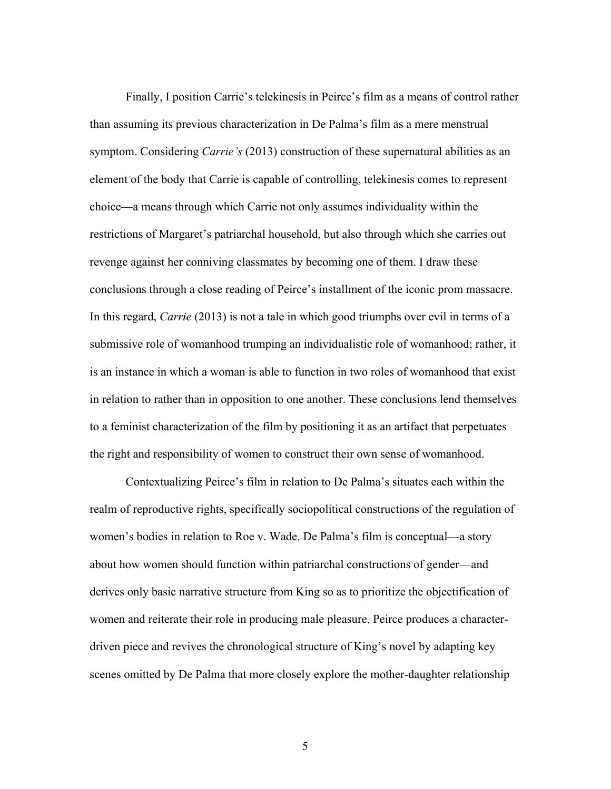Finally, I position Carrie's telekinesis in Peirce's film as a means of control rather than assuming its previous characterization in De Palma's film as a mere menstrual symptom. Considering *Carrie's* (2013) construction of these supernatural abilities as an element of the body that Carrie is capable of controlling, telekinesis comes to represent choice—a means through which Carrie not only assumes individuality within the restrictions of Margaret's patriarchal household, but also through which she carries out revenge against her conniving classmates by becoming one of them. I draw these conclusions through a close reading of Peirce's installment of the iconic prom massacre. In this regard, *Carrie* (2013) is not a tale in which good triumphs over evil in terms of a submissive role of womanhood trumping an individualistic role of womanhood; rather, it is an instance in which a woman is able to function in two roles of womanhood that exist in relation to rather than in opposition to one another. These conclusions lend themselves to a feminist characterization of the film by positioning it as an artifact that perpetuates the right and responsibility of women to construct their own sense of womanhood.

Contextualizing Peirce's film in relation to De Palma's situates each within the realm of reproductive rights, specifically sociopolitical constructions of the regulation of women's bodies in relation to Roe v. Wade. De Palma's film is conceptual—a story about how women should function within patriarchal constructions of gender—and derives only basic narrative structure from King so as to prioritize the objectification of women and reiterate their role in producing male pleasure. Peirce produces a characterdriven piece and revives the chronological structure of King's novel by adapting key scenes omitted by De Palma that more closely explore the mother-daughter relationship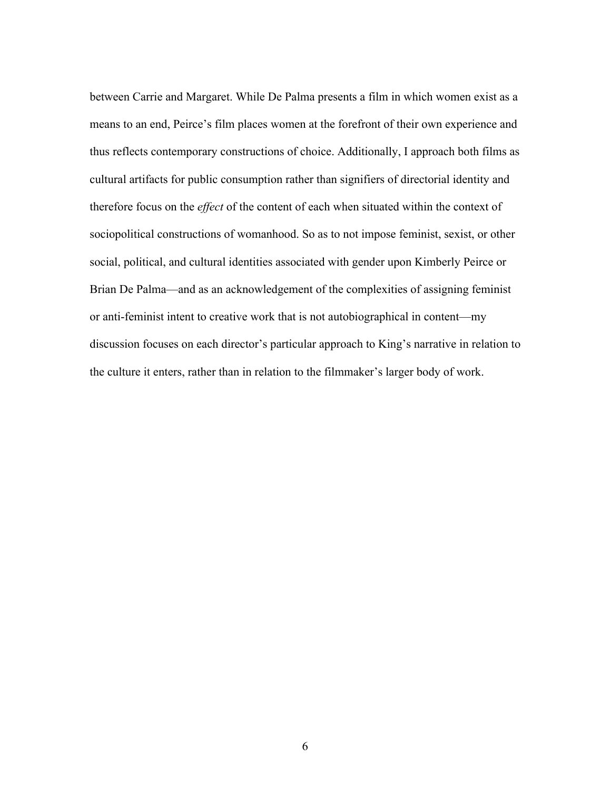between Carrie and Margaret. While De Palma presents a film in which women exist as a means to an end, Peirce's film places women at the forefront of their own experience and thus reflects contemporary constructions of choice. Additionally, I approach both films as cultural artifacts for public consumption rather than signifiers of directorial identity and therefore focus on the *effect* of the content of each when situated within the context of sociopolitical constructions of womanhood. So as to not impose feminist, sexist, or other social, political, and cultural identities associated with gender upon Kimberly Peirce or Brian De Palma—and as an acknowledgement of the complexities of assigning feminist or anti-feminist intent to creative work that is not autobiographical in content—my discussion focuses on each director's particular approach to King's narrative in relation to the culture it enters, rather than in relation to the filmmaker's larger body of work.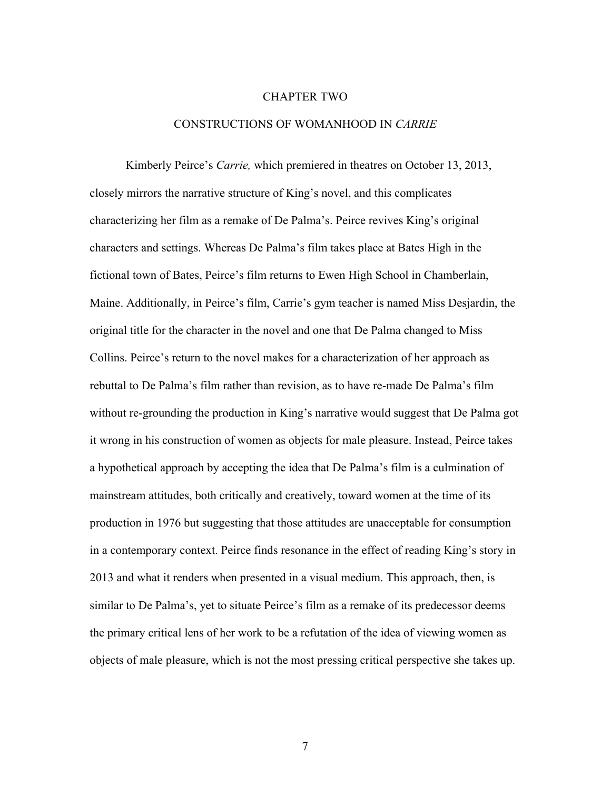#### CHAPTER TWO

# CONSTRUCTIONS OF WOMANHOOD IN *CARRIE*

Kimberly Peirce's *Carrie,* which premiered in theatres on October 13, 2013, closely mirrors the narrative structure of King's novel, and this complicates characterizing her film as a remake of De Palma's. Peirce revives King's original characters and settings. Whereas De Palma's film takes place at Bates High in the fictional town of Bates, Peirce's film returns to Ewen High School in Chamberlain, Maine. Additionally, in Peirce's film, Carrie's gym teacher is named Miss Desjardin, the original title for the character in the novel and one that De Palma changed to Miss Collins. Peirce's return to the novel makes for a characterization of her approach as rebuttal to De Palma's film rather than revision, as to have re-made De Palma's film without re-grounding the production in King's narrative would suggest that De Palma got it wrong in his construction of women as objects for male pleasure. Instead, Peirce takes a hypothetical approach by accepting the idea that De Palma's film is a culmination of mainstream attitudes, both critically and creatively, toward women at the time of its production in 1976 but suggesting that those attitudes are unacceptable for consumption in a contemporary context. Peirce finds resonance in the effect of reading King's story in 2013 and what it renders when presented in a visual medium. This approach, then, is similar to De Palma's, yet to situate Peirce's film as a remake of its predecessor deems the primary critical lens of her work to be a refutation of the idea of viewing women as objects of male pleasure, which is not the most pressing critical perspective she takes up.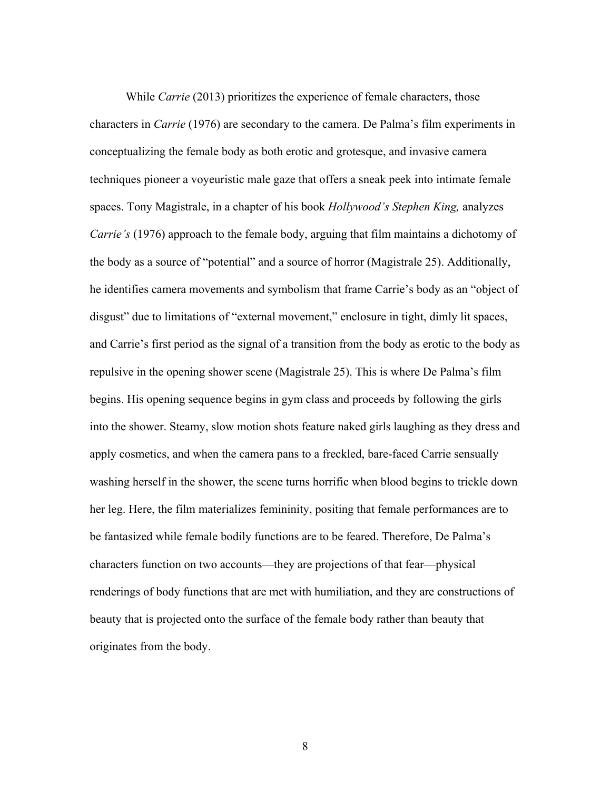While *Carrie* (2013) prioritizes the experience of female characters, those characters in *Carrie* (1976) are secondary to the camera. De Palma's film experiments in conceptualizing the female body as both erotic and grotesque, and invasive camera techniques pioneer a voyeuristic male gaze that offers a sneak peek into intimate female spaces. Tony Magistrale, in a chapter of his book *Hollywood's Stephen King,* analyzes *Carrie's* (1976) approach to the female body, arguing that film maintains a dichotomy of the body as a source of "potential" and a source of horror (Magistrale 25). Additionally, he identifies camera movements and symbolism that frame Carrie's body as an "object of disgust" due to limitations of "external movement," enclosure in tight, dimly lit spaces, and Carrie's first period as the signal of a transition from the body as erotic to the body as repulsive in the opening shower scene (Magistrale 25). This is where De Palma's film begins. His opening sequence begins in gym class and proceeds by following the girls into the shower. Steamy, slow motion shots feature naked girls laughing as they dress and apply cosmetics, and when the camera pans to a freckled, bare-faced Carrie sensually washing herself in the shower, the scene turns horrific when blood begins to trickle down her leg. Here, the film materializes femininity, positing that female performances are to be fantasized while female bodily functions are to be feared. Therefore, De Palma's characters function on two accounts—they are projections of that fear—physical renderings of body functions that are met with humiliation, and they are constructions of beauty that is projected onto the surface of the female body rather than beauty that originates from the body.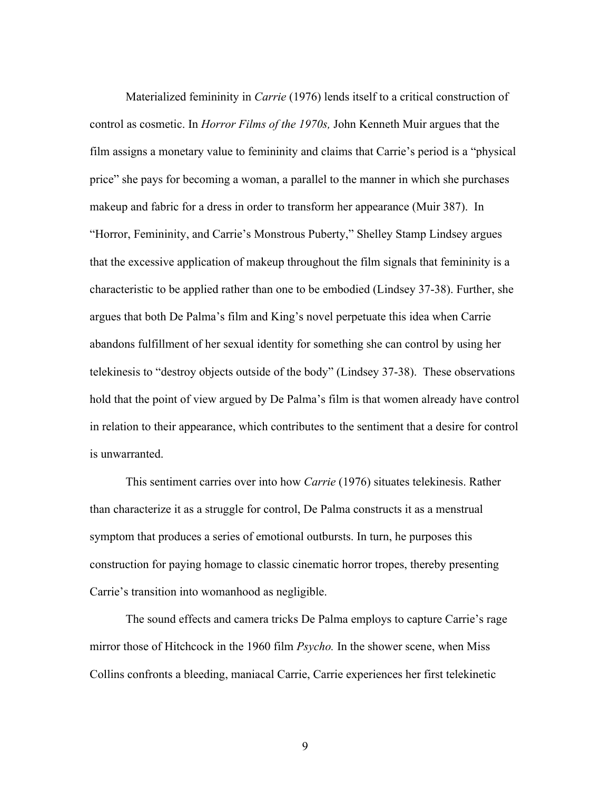Materialized femininity in *Carrie* (1976) lends itself to a critical construction of control as cosmetic. In *Horror Films of the 1970s,* John Kenneth Muir argues that the film assigns a monetary value to femininity and claims that Carrie's period is a "physical price" she pays for becoming a woman, a parallel to the manner in which she purchases makeup and fabric for a dress in order to transform her appearance (Muir 387). In "Horror, Femininity, and Carrie's Monstrous Puberty," Shelley Stamp Lindsey argues that the excessive application of makeup throughout the film signals that femininity is a characteristic to be applied rather than one to be embodied (Lindsey 37-38). Further, she argues that both De Palma's film and King's novel perpetuate this idea when Carrie abandons fulfillment of her sexual identity for something she can control by using her telekinesis to "destroy objects outside of the body" (Lindsey 37-38). These observations hold that the point of view argued by De Palma's film is that women already have control in relation to their appearance, which contributes to the sentiment that a desire for control is unwarranted.

This sentiment carries over into how *Carrie* (1976) situates telekinesis. Rather than characterize it as a struggle for control, De Palma constructs it as a menstrual symptom that produces a series of emotional outbursts. In turn, he purposes this construction for paying homage to classic cinematic horror tropes, thereby presenting Carrie's transition into womanhood as negligible.

The sound effects and camera tricks De Palma employs to capture Carrie's rage mirror those of Hitchcock in the 1960 film *Psycho.* In the shower scene, when Miss Collins confronts a bleeding, maniacal Carrie, Carrie experiences her first telekinetic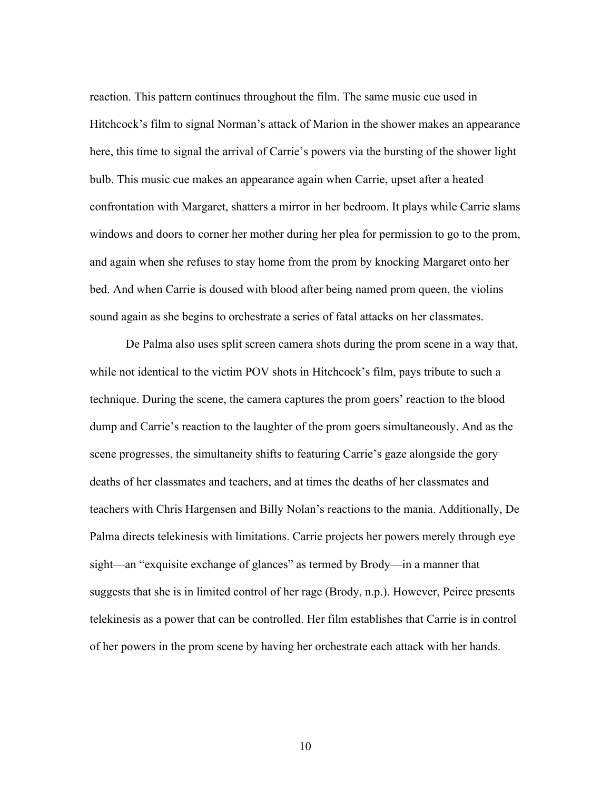reaction. This pattern continues throughout the film. The same music cue used in Hitchcock's film to signal Norman's attack of Marion in the shower makes an appearance here, this time to signal the arrival of Carrie's powers via the bursting of the shower light bulb. This music cue makes an appearance again when Carrie, upset after a heated confrontation with Margaret, shatters a mirror in her bedroom. It plays while Carrie slams windows and doors to corner her mother during her plea for permission to go to the prom, and again when she refuses to stay home from the prom by knocking Margaret onto her bed. And when Carrie is doused with blood after being named prom queen, the violins sound again as she begins to orchestrate a series of fatal attacks on her classmates.

De Palma also uses split screen camera shots during the prom scene in a way that, while not identical to the victim POV shots in Hitchcock's film, pays tribute to such a technique. During the scene, the camera captures the prom goers' reaction to the blood dump and Carrie's reaction to the laughter of the prom goers simultaneously. And as the scene progresses, the simultaneity shifts to featuring Carrie's gaze alongside the gory deaths of her classmates and teachers, and at times the deaths of her classmates and teachers with Chris Hargensen and Billy Nolan's reactions to the mania. Additionally, De Palma directs telekinesis with limitations. Carrie projects her powers merely through eye sight—an "exquisite exchange of glances" as termed by Brody—in a manner that suggests that she is in limited control of her rage (Brody, n.p.). However, Peirce presents telekinesis as a power that can be controlled. Her film establishes that Carrie is in control of her powers in the prom scene by having her orchestrate each attack with her hands.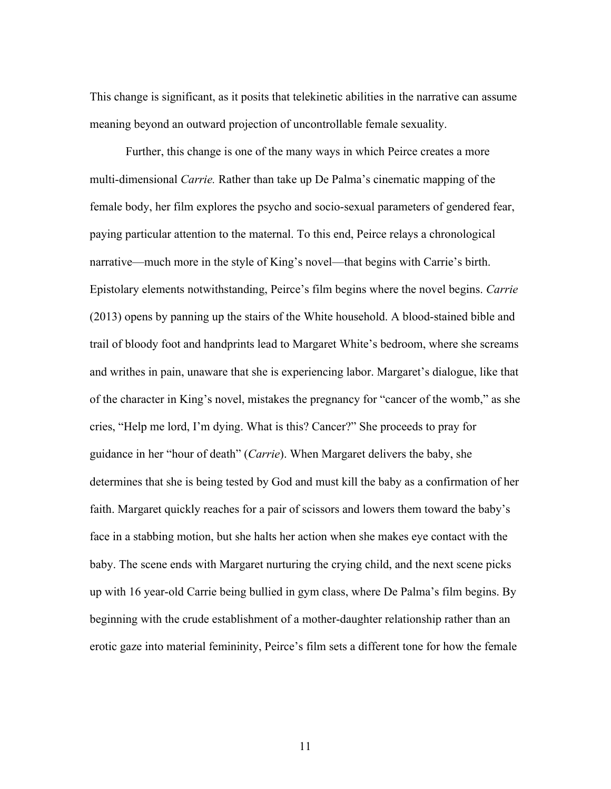This change is significant, as it posits that telekinetic abilities in the narrative can assume meaning beyond an outward projection of uncontrollable female sexuality.

Further, this change is one of the many ways in which Peirce creates a more multi-dimensional *Carrie.* Rather than take up De Palma's cinematic mapping of the female body, her film explores the psycho and socio-sexual parameters of gendered fear, paying particular attention to the maternal. To this end, Peirce relays a chronological narrative—much more in the style of King's novel—that begins with Carrie's birth. Epistolary elements notwithstanding, Peirce's film begins where the novel begins. *Carrie*  (2013) opens by panning up the stairs of the White household. A blood-stained bible and trail of bloody foot and handprints lead to Margaret White's bedroom, where she screams and writhes in pain, unaware that she is experiencing labor. Margaret's dialogue, like that of the character in King's novel, mistakes the pregnancy for "cancer of the womb," as she cries, "Help me lord, I'm dying. What is this? Cancer?" She proceeds to pray for guidance in her "hour of death" (*Carrie*). When Margaret delivers the baby, she determines that she is being tested by God and must kill the baby as a confirmation of her faith. Margaret quickly reaches for a pair of scissors and lowers them toward the baby's face in a stabbing motion, but she halts her action when she makes eye contact with the baby. The scene ends with Margaret nurturing the crying child, and the next scene picks up with 16 year-old Carrie being bullied in gym class, where De Palma's film begins. By beginning with the crude establishment of a mother-daughter relationship rather than an erotic gaze into material femininity, Peirce's film sets a different tone for how the female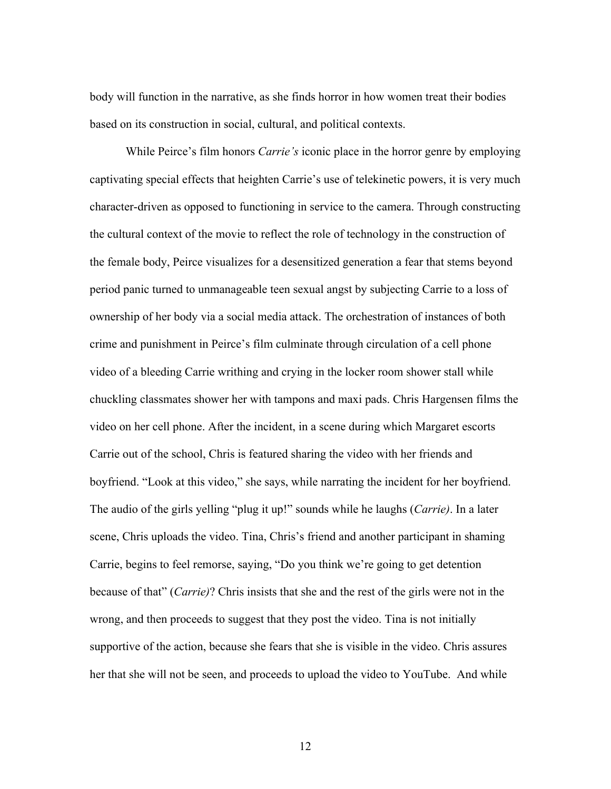body will function in the narrative, as she finds horror in how women treat their bodies based on its construction in social, cultural, and political contexts.

While Peirce's film honors *Carrie's* iconic place in the horror genre by employing captivating special effects that heighten Carrie's use of telekinetic powers, it is very much character-driven as opposed to functioning in service to the camera. Through constructing the cultural context of the movie to reflect the role of technology in the construction of the female body, Peirce visualizes for a desensitized generation a fear that stems beyond period panic turned to unmanageable teen sexual angst by subjecting Carrie to a loss of ownership of her body via a social media attack. The orchestration of instances of both crime and punishment in Peirce's film culminate through circulation of a cell phone video of a bleeding Carrie writhing and crying in the locker room shower stall while chuckling classmates shower her with tampons and maxi pads. Chris Hargensen films the video on her cell phone. After the incident, in a scene during which Margaret escorts Carrie out of the school, Chris is featured sharing the video with her friends and boyfriend. "Look at this video," she says, while narrating the incident for her boyfriend. The audio of the girls yelling "plug it up!" sounds while he laughs (*Carrie)*. In a later scene, Chris uploads the video. Tina, Chris's friend and another participant in shaming Carrie, begins to feel remorse, saying, "Do you think we're going to get detention because of that" (*Carrie)*? Chris insists that she and the rest of the girls were not in the wrong, and then proceeds to suggest that they post the video. Tina is not initially supportive of the action, because she fears that she is visible in the video. Chris assures her that she will not be seen, and proceeds to upload the video to YouTube. And while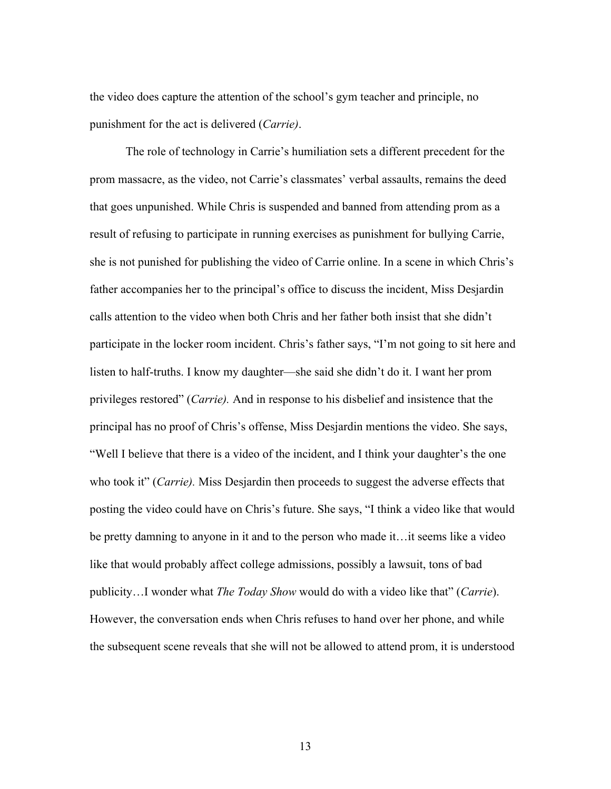the video does capture the attention of the school's gym teacher and principle, no punishment for the act is delivered (*Carrie)*.

The role of technology in Carrie's humiliation sets a different precedent for the prom massacre, as the video, not Carrie's classmates' verbal assaults, remains the deed that goes unpunished. While Chris is suspended and banned from attending prom as a result of refusing to participate in running exercises as punishment for bullying Carrie, she is not punished for publishing the video of Carrie online. In a scene in which Chris's father accompanies her to the principal's office to discuss the incident, Miss Desjardin calls attention to the video when both Chris and her father both insist that she didn't participate in the locker room incident. Chris's father says, "I'm not going to sit here and listen to half-truths. I know my daughter—she said she didn't do it. I want her prom privileges restored" (*Carrie).* And in response to his disbelief and insistence that the principal has no proof of Chris's offense, Miss Desjardin mentions the video. She says, "Well I believe that there is a video of the incident, and I think your daughter's the one who took it" *(Carrie)*. Miss Desjardin then proceeds to suggest the adverse effects that posting the video could have on Chris's future. She says, "I think a video like that would be pretty damning to anyone in it and to the person who made it…it seems like a video like that would probably affect college admissions, possibly a lawsuit, tons of bad publicity…I wonder what *The Today Show* would do with a video like that" (*Carrie*). However, the conversation ends when Chris refuses to hand over her phone, and while the subsequent scene reveals that she will not be allowed to attend prom, it is understood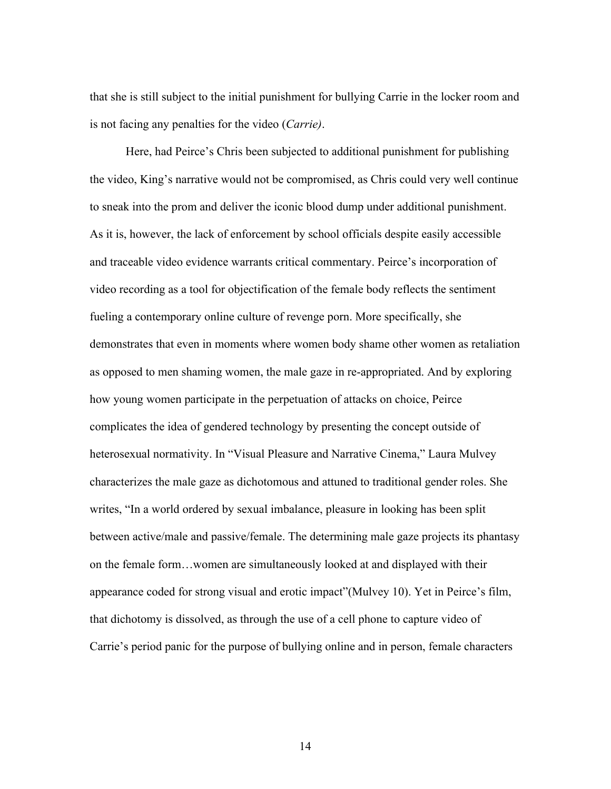that she is still subject to the initial punishment for bullying Carrie in the locker room and is not facing any penalties for the video (*Carrie)*.

Here, had Peirce's Chris been subjected to additional punishment for publishing the video, King's narrative would not be compromised, as Chris could very well continue to sneak into the prom and deliver the iconic blood dump under additional punishment. As it is, however, the lack of enforcement by school officials despite easily accessible and traceable video evidence warrants critical commentary. Peirce's incorporation of video recording as a tool for objectification of the female body reflects the sentiment fueling a contemporary online culture of revenge porn. More specifically, she demonstrates that even in moments where women body shame other women as retaliation as opposed to men shaming women, the male gaze in re-appropriated. And by exploring how young women participate in the perpetuation of attacks on choice, Peirce complicates the idea of gendered technology by presenting the concept outside of heterosexual normativity. In "Visual Pleasure and Narrative Cinema," Laura Mulvey characterizes the male gaze as dichotomous and attuned to traditional gender roles. She writes, "In a world ordered by sexual imbalance, pleasure in looking has been split between active/male and passive/female. The determining male gaze projects its phantasy on the female form…women are simultaneously looked at and displayed with their appearance coded for strong visual and erotic impact"(Mulvey 10). Yet in Peirce's film, that dichotomy is dissolved, as through the use of a cell phone to capture video of Carrie's period panic for the purpose of bullying online and in person, female characters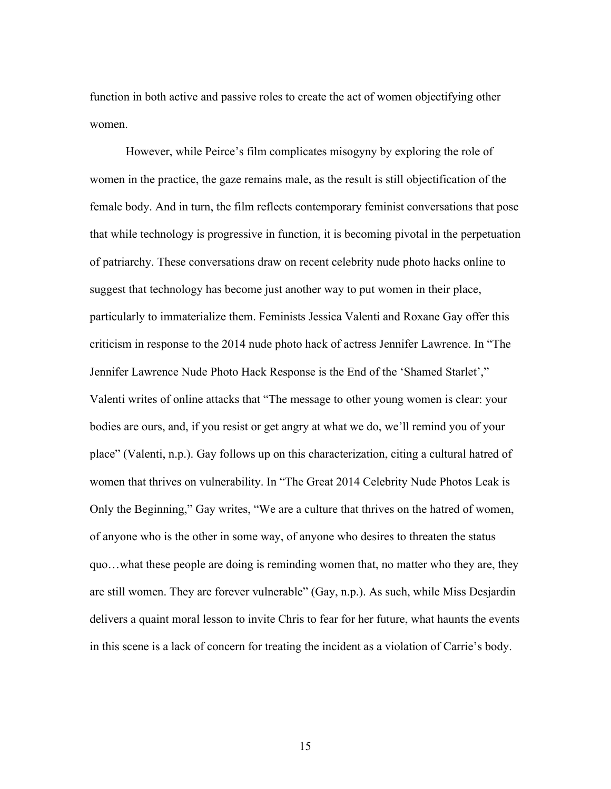function in both active and passive roles to create the act of women objectifying other women.

However, while Peirce's film complicates misogyny by exploring the role of women in the practice, the gaze remains male, as the result is still objectification of the female body. And in turn, the film reflects contemporary feminist conversations that pose that while technology is progressive in function, it is becoming pivotal in the perpetuation of patriarchy. These conversations draw on recent celebrity nude photo hacks online to suggest that technology has become just another way to put women in their place, particularly to immaterialize them. Feminists Jessica Valenti and Roxane Gay offer this criticism in response to the 2014 nude photo hack of actress Jennifer Lawrence. In "The Jennifer Lawrence Nude Photo Hack Response is the End of the 'Shamed Starlet'," Valenti writes of online attacks that "The message to other young women is clear: your bodies are ours, and, if you resist or get angry at what we do, we'll remind you of your place" (Valenti, n.p.). Gay follows up on this characterization, citing a cultural hatred of women that thrives on vulnerability. In "The Great 2014 Celebrity Nude Photos Leak is Only the Beginning," Gay writes, "We are a culture that thrives on the hatred of women, of anyone who is the other in some way, of anyone who desires to threaten the status quo…what these people are doing is reminding women that, no matter who they are, they are still women. They are forever vulnerable" (Gay, n.p.). As such, while Miss Desjardin delivers a quaint moral lesson to invite Chris to fear for her future, what haunts the events in this scene is a lack of concern for treating the incident as a violation of Carrie's body.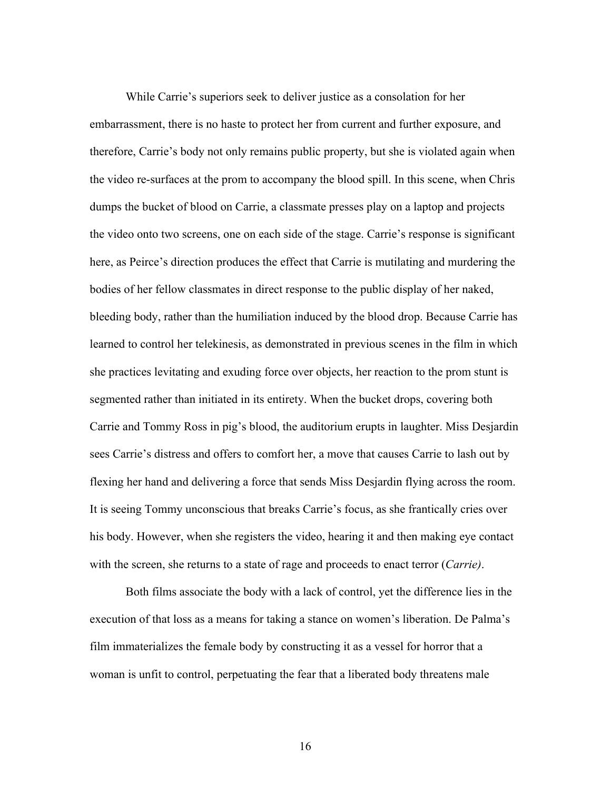While Carrie's superiors seek to deliver justice as a consolation for her embarrassment, there is no haste to protect her from current and further exposure, and therefore, Carrie's body not only remains public property, but she is violated again when the video re-surfaces at the prom to accompany the blood spill. In this scene, when Chris dumps the bucket of blood on Carrie, a classmate presses play on a laptop and projects the video onto two screens, one on each side of the stage. Carrie's response is significant here, as Peirce's direction produces the effect that Carrie is mutilating and murdering the bodies of her fellow classmates in direct response to the public display of her naked, bleeding body, rather than the humiliation induced by the blood drop. Because Carrie has learned to control her telekinesis, as demonstrated in previous scenes in the film in which she practices levitating and exuding force over objects, her reaction to the prom stunt is segmented rather than initiated in its entirety. When the bucket drops, covering both Carrie and Tommy Ross in pig's blood, the auditorium erupts in laughter. Miss Desjardin sees Carrie's distress and offers to comfort her, a move that causes Carrie to lash out by flexing her hand and delivering a force that sends Miss Desjardin flying across the room. It is seeing Tommy unconscious that breaks Carrie's focus, as she frantically cries over his body. However, when she registers the video, hearing it and then making eye contact with the screen, she returns to a state of rage and proceeds to enact terror (*Carrie)*.

Both films associate the body with a lack of control, yet the difference lies in the execution of that loss as a means for taking a stance on women's liberation. De Palma's film immaterializes the female body by constructing it as a vessel for horror that a woman is unfit to control, perpetuating the fear that a liberated body threatens male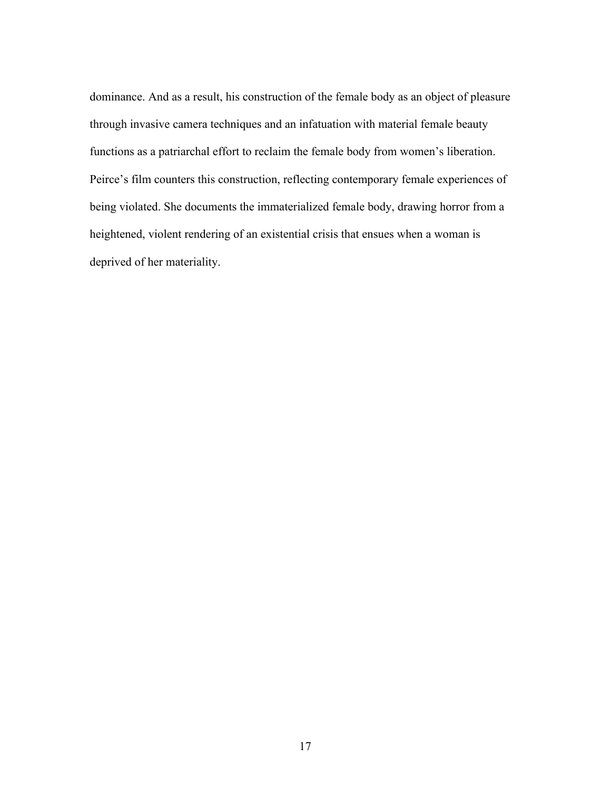dominance. And as a result, his construction of the female body as an object of pleasure through invasive camera techniques and an infatuation with material female beauty functions as a patriarchal effort to reclaim the female body from women's liberation. Peirce's film counters this construction, reflecting contemporary female experiences of being violated. She documents the immaterialized female body, drawing horror from a heightened, violent rendering of an existential crisis that ensues when a woman is deprived of her materiality.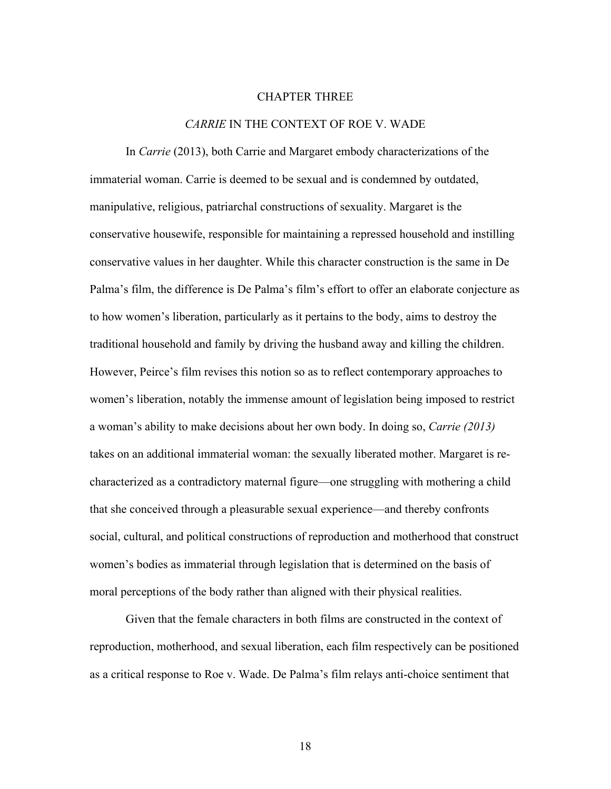## CHAPTER THREE

## *CARRIE* IN THE CONTEXT OF ROE V. WADE

In *Carrie* (2013), both Carrie and Margaret embody characterizations of the immaterial woman. Carrie is deemed to be sexual and is condemned by outdated, manipulative, religious, patriarchal constructions of sexuality. Margaret is the conservative housewife, responsible for maintaining a repressed household and instilling conservative values in her daughter. While this character construction is the same in De Palma's film, the difference is De Palma's film's effort to offer an elaborate conjecture as to how women's liberation, particularly as it pertains to the body, aims to destroy the traditional household and family by driving the husband away and killing the children. However, Peirce's film revises this notion so as to reflect contemporary approaches to women's liberation, notably the immense amount of legislation being imposed to restrict a woman's ability to make decisions about her own body. In doing so, *Carrie (2013)* takes on an additional immaterial woman: the sexually liberated mother. Margaret is recharacterized as a contradictory maternal figure—one struggling with mothering a child that she conceived through a pleasurable sexual experience—and thereby confronts social, cultural, and political constructions of reproduction and motherhood that construct women's bodies as immaterial through legislation that is determined on the basis of moral perceptions of the body rather than aligned with their physical realities.

Given that the female characters in both films are constructed in the context of reproduction, motherhood, and sexual liberation, each film respectively can be positioned as a critical response to Roe v. Wade. De Palma's film relays anti-choice sentiment that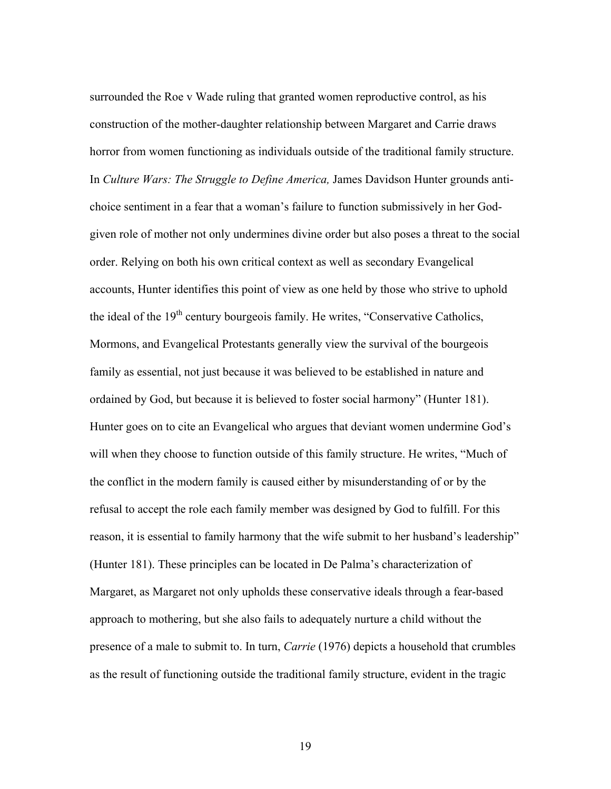surrounded the Roe v Wade ruling that granted women reproductive control, as his construction of the mother-daughter relationship between Margaret and Carrie draws horror from women functioning as individuals outside of the traditional family structure. In *Culture Wars: The Struggle to Define America,* James Davidson Hunter grounds antichoice sentiment in a fear that a woman's failure to function submissively in her Godgiven role of mother not only undermines divine order but also poses a threat to the social order. Relying on both his own critical context as well as secondary Evangelical accounts, Hunter identifies this point of view as one held by those who strive to uphold the ideal of the  $19<sup>th</sup>$  century bourgeois family. He writes, "Conservative Catholics, Mormons, and Evangelical Protestants generally view the survival of the bourgeois family as essential, not just because it was believed to be established in nature and ordained by God, but because it is believed to foster social harmony" (Hunter 181). Hunter goes on to cite an Evangelical who argues that deviant women undermine God's will when they choose to function outside of this family structure. He writes, "Much of the conflict in the modern family is caused either by misunderstanding of or by the refusal to accept the role each family member was designed by God to fulfill. For this reason, it is essential to family harmony that the wife submit to her husband's leadership" (Hunter 181). These principles can be located in De Palma's characterization of Margaret, as Margaret not only upholds these conservative ideals through a fear-based approach to mothering, but she also fails to adequately nurture a child without the presence of a male to submit to. In turn, *Carrie* (1976) depicts a household that crumbles as the result of functioning outside the traditional family structure, evident in the tragic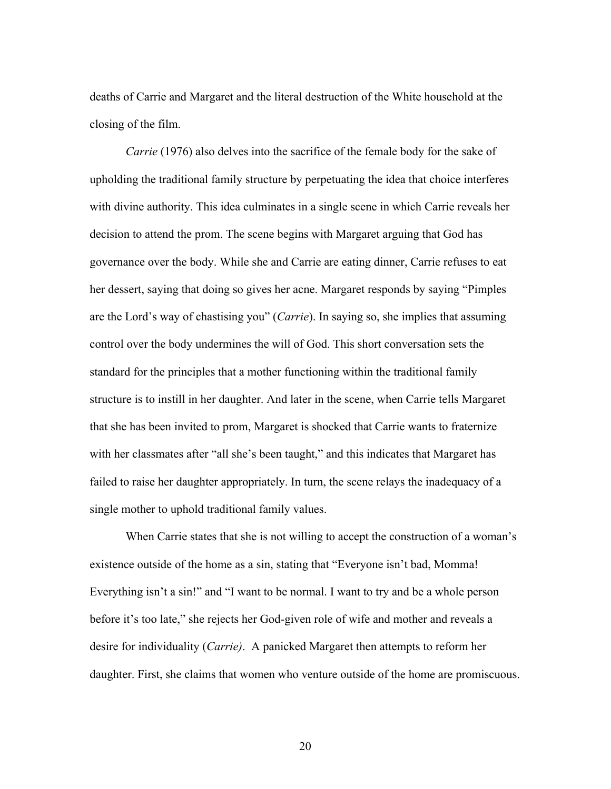deaths of Carrie and Margaret and the literal destruction of the White household at the closing of the film.

*Carrie* (1976) also delves into the sacrifice of the female body for the sake of upholding the traditional family structure by perpetuating the idea that choice interferes with divine authority. This idea culminates in a single scene in which Carrie reveals her decision to attend the prom. The scene begins with Margaret arguing that God has governance over the body. While she and Carrie are eating dinner, Carrie refuses to eat her dessert, saying that doing so gives her acne. Margaret responds by saying "Pimples are the Lord's way of chastising you" (*Carrie*). In saying so, she implies that assuming control over the body undermines the will of God. This short conversation sets the standard for the principles that a mother functioning within the traditional family structure is to instill in her daughter. And later in the scene, when Carrie tells Margaret that she has been invited to prom, Margaret is shocked that Carrie wants to fraternize with her classmates after "all she's been taught," and this indicates that Margaret has failed to raise her daughter appropriately. In turn, the scene relays the inadequacy of a single mother to uphold traditional family values.

When Carrie states that she is not willing to accept the construction of a woman's existence outside of the home as a sin, stating that "Everyone isn't bad, Momma! Everything isn't a sin!" and "I want to be normal. I want to try and be a whole person before it's too late," she rejects her God-given role of wife and mother and reveals a desire for individuality (*Carrie)*. A panicked Margaret then attempts to reform her daughter. First, she claims that women who venture outside of the home are promiscuous.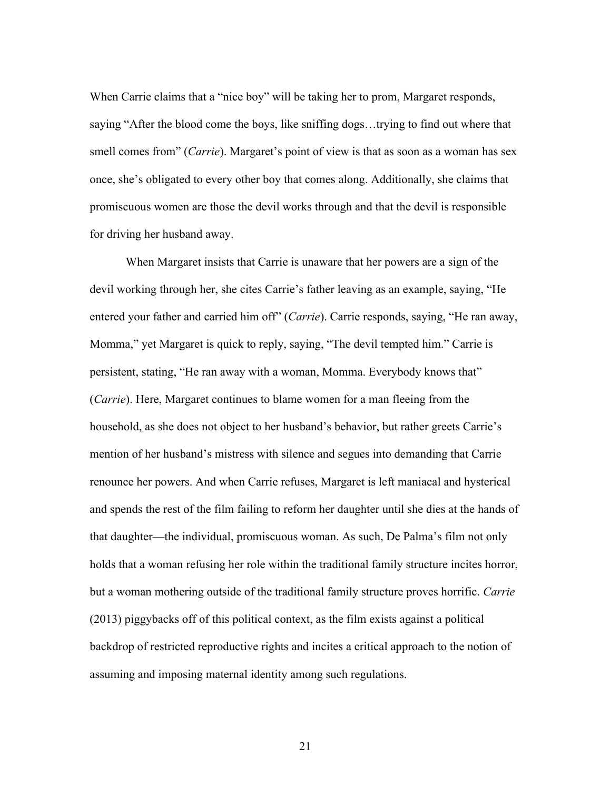When Carrie claims that a "nice boy" will be taking her to prom, Margaret responds, saying "After the blood come the boys, like sniffing dogs…trying to find out where that smell comes from" (*Carrie*). Margaret's point of view is that as soon as a woman has sex once, she's obligated to every other boy that comes along. Additionally, she claims that promiscuous women are those the devil works through and that the devil is responsible for driving her husband away.

When Margaret insists that Carrie is unaware that her powers are a sign of the devil working through her, she cites Carrie's father leaving as an example, saying, "He entered your father and carried him off" (*Carrie*). Carrie responds, saying, "He ran away, Momma," yet Margaret is quick to reply, saying, "The devil tempted him." Carrie is persistent, stating, "He ran away with a woman, Momma. Everybody knows that" (*Carrie*). Here, Margaret continues to blame women for a man fleeing from the household, as she does not object to her husband's behavior, but rather greets Carrie's mention of her husband's mistress with silence and segues into demanding that Carrie renounce her powers. And when Carrie refuses, Margaret is left maniacal and hysterical and spends the rest of the film failing to reform her daughter until she dies at the hands of that daughter—the individual, promiscuous woman. As such, De Palma's film not only holds that a woman refusing her role within the traditional family structure incites horror, but a woman mothering outside of the traditional family structure proves horrific. *Carrie*  (2013) piggybacks off of this political context, as the film exists against a political backdrop of restricted reproductive rights and incites a critical approach to the notion of assuming and imposing maternal identity among such regulations.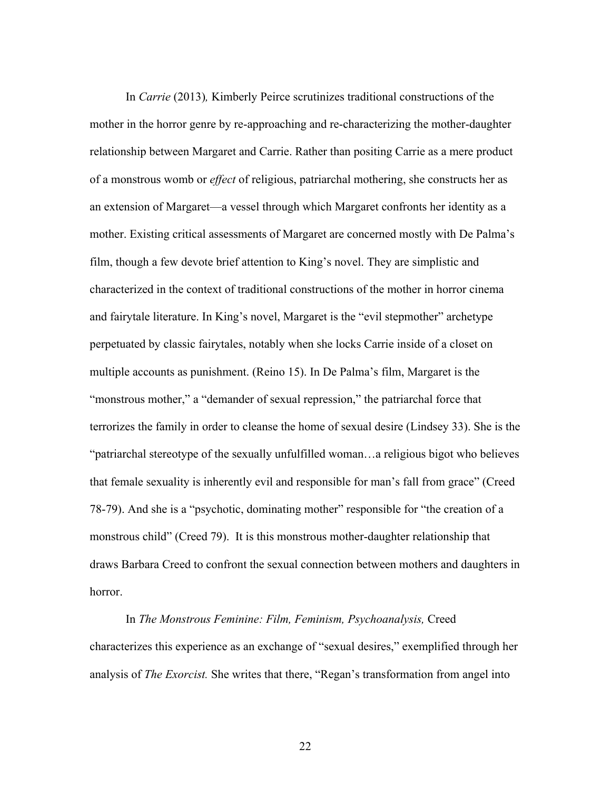In *Carrie* (2013)*,* Kimberly Peirce scrutinizes traditional constructions of the mother in the horror genre by re-approaching and re-characterizing the mother-daughter relationship between Margaret and Carrie. Rather than positing Carrie as a mere product of a monstrous womb or *effect* of religious, patriarchal mothering, she constructs her as an extension of Margaret—a vessel through which Margaret confronts her identity as a mother. Existing critical assessments of Margaret are concerned mostly with De Palma's film, though a few devote brief attention to King's novel. They are simplistic and characterized in the context of traditional constructions of the mother in horror cinema and fairytale literature. In King's novel, Margaret is the "evil stepmother" archetype perpetuated by classic fairytales, notably when she locks Carrie inside of a closet on multiple accounts as punishment. (Reino 15). In De Palma's film, Margaret is the "monstrous mother," a "demander of sexual repression," the patriarchal force that terrorizes the family in order to cleanse the home of sexual desire (Lindsey 33). She is the "patriarchal stereotype of the sexually unfulfilled woman…a religious bigot who believes that female sexuality is inherently evil and responsible for man's fall from grace" (Creed 78-79). And she is a "psychotic, dominating mother" responsible for "the creation of a monstrous child" (Creed 79). It is this monstrous mother-daughter relationship that draws Barbara Creed to confront the sexual connection between mothers and daughters in horror.

In *The Monstrous Feminine: Film, Feminism, Psychoanalysis,* Creed characterizes this experience as an exchange of "sexual desires," exemplified through her analysis of *The Exorcist.* She writes that there, "Regan's transformation from angel into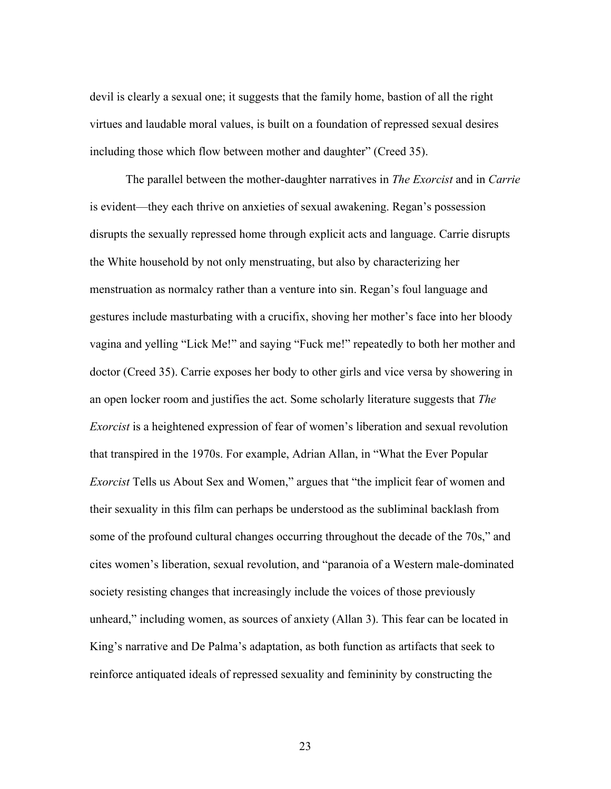devil is clearly a sexual one; it suggests that the family home, bastion of all the right virtues and laudable moral values, is built on a foundation of repressed sexual desires including those which flow between mother and daughter" (Creed 35).

The parallel between the mother-daughter narratives in *The Exorcist* and in *Carrie* is evident—they each thrive on anxieties of sexual awakening. Regan's possession disrupts the sexually repressed home through explicit acts and language. Carrie disrupts the White household by not only menstruating, but also by characterizing her menstruation as normalcy rather than a venture into sin. Regan's foul language and gestures include masturbating with a crucifix, shoving her mother's face into her bloody vagina and yelling "Lick Me!" and saying "Fuck me!" repeatedly to both her mother and doctor (Creed 35). Carrie exposes her body to other girls and vice versa by showering in an open locker room and justifies the act. Some scholarly literature suggests that *The Exorcist* is a heightened expression of fear of women's liberation and sexual revolution that transpired in the 1970s. For example, Adrian Allan, in "What the Ever Popular *Exorcist* Tells us About Sex and Women," argues that "the implicit fear of women and their sexuality in this film can perhaps be understood as the subliminal backlash from some of the profound cultural changes occurring throughout the decade of the 70s," and cites women's liberation, sexual revolution, and "paranoia of a Western male-dominated society resisting changes that increasingly include the voices of those previously unheard," including women, as sources of anxiety (Allan 3). This fear can be located in King's narrative and De Palma's adaptation, as both function as artifacts that seek to reinforce antiquated ideals of repressed sexuality and femininity by constructing the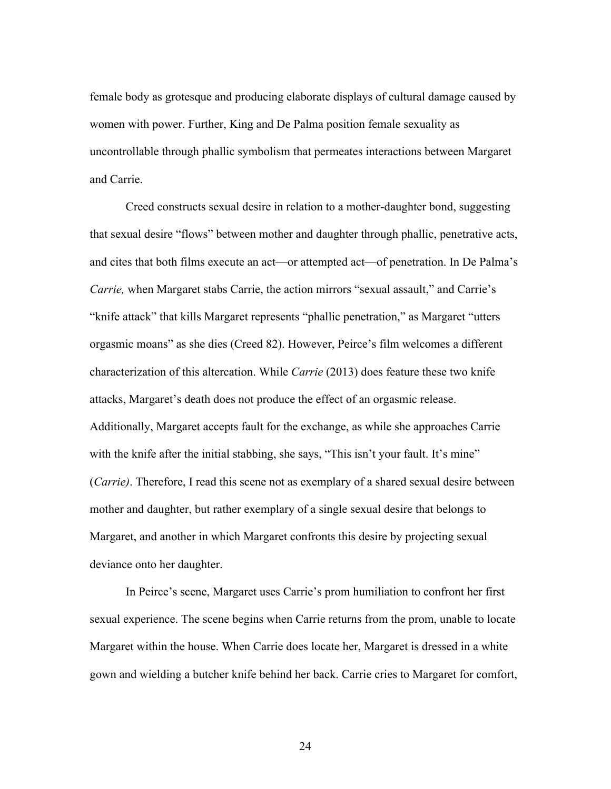female body as grotesque and producing elaborate displays of cultural damage caused by women with power. Further, King and De Palma position female sexuality as uncontrollable through phallic symbolism that permeates interactions between Margaret and Carrie.

Creed constructs sexual desire in relation to a mother-daughter bond, suggesting that sexual desire "flows" between mother and daughter through phallic, penetrative acts, and cites that both films execute an act—or attempted act—of penetration. In De Palma's *Carrie,* when Margaret stabs Carrie, the action mirrors "sexual assault," and Carrie's "knife attack" that kills Margaret represents "phallic penetration," as Margaret "utters orgasmic moans" as she dies (Creed 82). However, Peirce's film welcomes a different characterization of this altercation. While *Carrie* (2013) does feature these two knife attacks, Margaret's death does not produce the effect of an orgasmic release. Additionally, Margaret accepts fault for the exchange, as while she approaches Carrie with the knife after the initial stabbing, she says, "This isn't your fault. It's mine" (*Carrie)*. Therefore, I read this scene not as exemplary of a shared sexual desire between mother and daughter, but rather exemplary of a single sexual desire that belongs to Margaret, and another in which Margaret confronts this desire by projecting sexual deviance onto her daughter.

In Peirce's scene, Margaret uses Carrie's prom humiliation to confront her first sexual experience. The scene begins when Carrie returns from the prom, unable to locate Margaret within the house. When Carrie does locate her, Margaret is dressed in a white gown and wielding a butcher knife behind her back. Carrie cries to Margaret for comfort,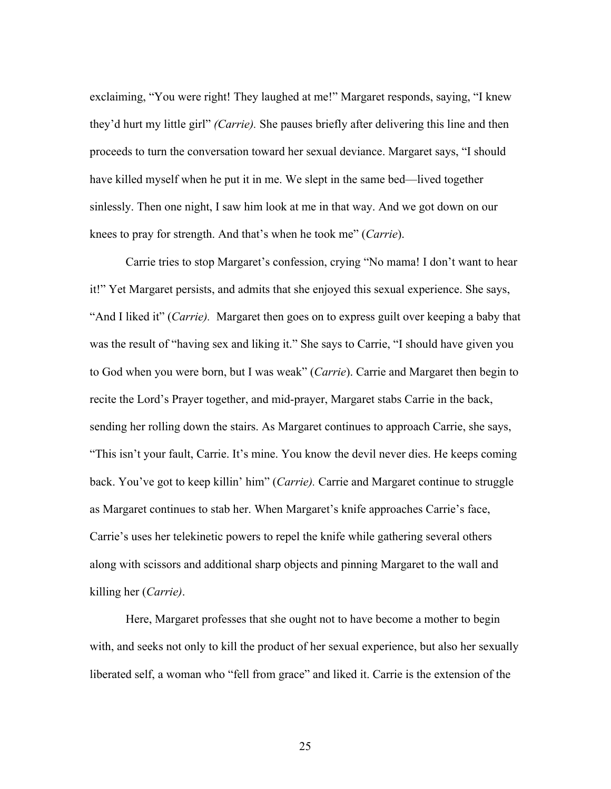exclaiming, "You were right! They laughed at me!" Margaret responds, saying, "I knew they'd hurt my little girl" *(Carrie).* She pauses briefly after delivering this line and then proceeds to turn the conversation toward her sexual deviance. Margaret says, "I should have killed myself when he put it in me. We slept in the same bed—lived together sinlessly. Then one night, I saw him look at me in that way. And we got down on our knees to pray for strength. And that's when he took me" (*Carrie*).

Carrie tries to stop Margaret's confession, crying "No mama! I don't want to hear it!" Yet Margaret persists, and admits that she enjoyed this sexual experience. She says, "And I liked it" (*Carrie).* Margaret then goes on to express guilt over keeping a baby that was the result of "having sex and liking it." She says to Carrie, "I should have given you to God when you were born, but I was weak" (*Carrie*). Carrie and Margaret then begin to recite the Lord's Prayer together, and mid-prayer, Margaret stabs Carrie in the back, sending her rolling down the stairs. As Margaret continues to approach Carrie, she says, "This isn't your fault, Carrie. It's mine. You know the devil never dies. He keeps coming back. You've got to keep killin' him" (*Carrie).* Carrie and Margaret continue to struggle as Margaret continues to stab her. When Margaret's knife approaches Carrie's face, Carrie's uses her telekinetic powers to repel the knife while gathering several others along with scissors and additional sharp objects and pinning Margaret to the wall and killing her (*Carrie)*.

Here, Margaret professes that she ought not to have become a mother to begin with, and seeks not only to kill the product of her sexual experience, but also her sexually liberated self, a woman who "fell from grace" and liked it. Carrie is the extension of the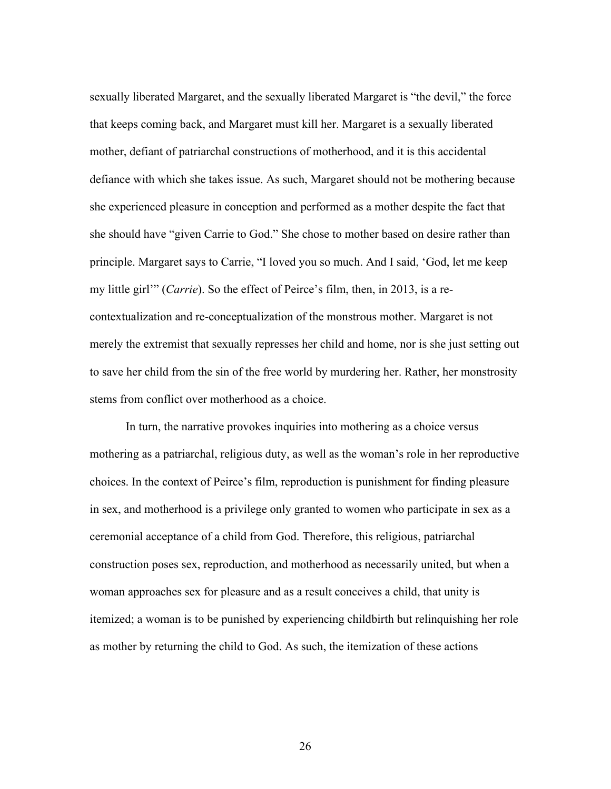sexually liberated Margaret, and the sexually liberated Margaret is "the devil," the force that keeps coming back, and Margaret must kill her. Margaret is a sexually liberated mother, defiant of patriarchal constructions of motherhood, and it is this accidental defiance with which she takes issue. As such, Margaret should not be mothering because she experienced pleasure in conception and performed as a mother despite the fact that she should have "given Carrie to God." She chose to mother based on desire rather than principle. Margaret says to Carrie, "I loved you so much. And I said, 'God, let me keep my little girl'" (*Carrie*). So the effect of Peirce's film, then, in 2013, is a recontextualization and re-conceptualization of the monstrous mother. Margaret is not merely the extremist that sexually represses her child and home, nor is she just setting out to save her child from the sin of the free world by murdering her. Rather, her monstrosity stems from conflict over motherhood as a choice.

In turn, the narrative provokes inquiries into mothering as a choice versus mothering as a patriarchal, religious duty, as well as the woman's role in her reproductive choices. In the context of Peirce's film, reproduction is punishment for finding pleasure in sex, and motherhood is a privilege only granted to women who participate in sex as a ceremonial acceptance of a child from God. Therefore, this religious, patriarchal construction poses sex, reproduction, and motherhood as necessarily united, but when a woman approaches sex for pleasure and as a result conceives a child, that unity is itemized; a woman is to be punished by experiencing childbirth but relinquishing her role as mother by returning the child to God. As such, the itemization of these actions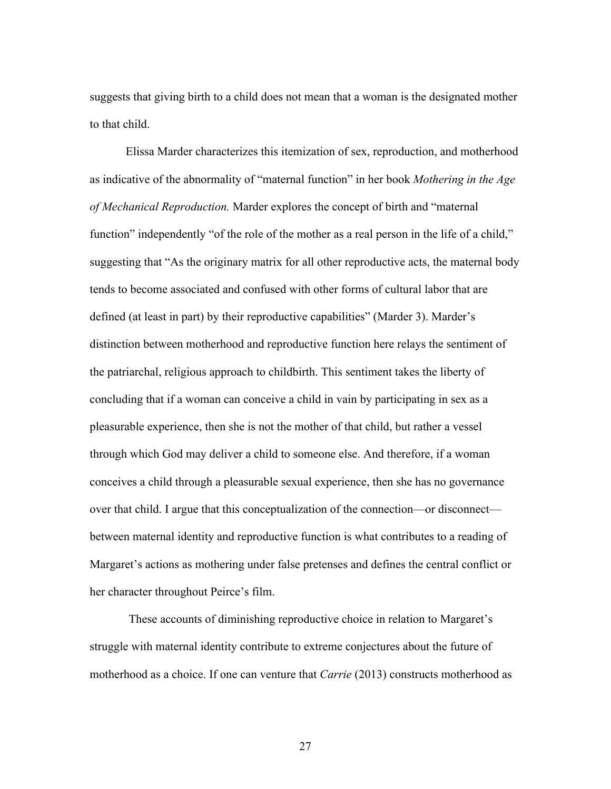suggests that giving birth to a child does not mean that a woman is the designated mother to that child.

Elissa Marder characterizes this itemization of sex, reproduction, and motherhood as indicative of the abnormality of "maternal function" in her book *Mothering in the Age of Mechanical Reproduction.* Marder explores the concept of birth and "maternal function" independently "of the role of the mother as a real person in the life of a child," suggesting that "As the originary matrix for all other reproductive acts, the maternal body tends to become associated and confused with other forms of cultural labor that are defined (at least in part) by their reproductive capabilities" (Marder 3). Marder's distinction between motherhood and reproductive function here relays the sentiment of the patriarchal, religious approach to childbirth. This sentiment takes the liberty of concluding that if a woman can conceive a child in vain by participating in sex as a pleasurable experience, then she is not the mother of that child, but rather a vessel through which God may deliver a child to someone else. And therefore, if a woman conceives a child through a pleasurable sexual experience, then she has no governance over that child. I argue that this conceptualization of the connection—or disconnect between maternal identity and reproductive function is what contributes to a reading of Margaret's actions as mothering under false pretenses and defines the central conflict or her character throughout Peirce's film.

These accounts of diminishing reproductive choice in relation to Margaret's struggle with maternal identity contribute to extreme conjectures about the future of motherhood as a choice. If one can venture that *Carrie* (2013) constructs motherhood as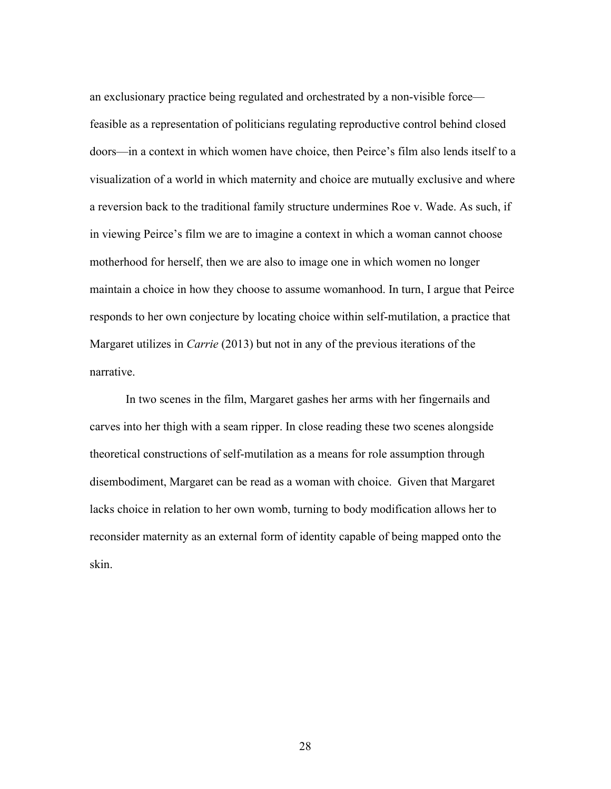an exclusionary practice being regulated and orchestrated by a non-visible force feasible as a representation of politicians regulating reproductive control behind closed doors—in a context in which women have choice, then Peirce's film also lends itself to a visualization of a world in which maternity and choice are mutually exclusive and where a reversion back to the traditional family structure undermines Roe v. Wade. As such, if in viewing Peirce's film we are to imagine a context in which a woman cannot choose motherhood for herself, then we are also to image one in which women no longer maintain a choice in how they choose to assume womanhood. In turn, I argue that Peirce responds to her own conjecture by locating choice within self-mutilation, a practice that Margaret utilizes in *Carrie* (2013) but not in any of the previous iterations of the narrative.

In two scenes in the film, Margaret gashes her arms with her fingernails and carves into her thigh with a seam ripper. In close reading these two scenes alongside theoretical constructions of self-mutilation as a means for role assumption through disembodiment, Margaret can be read as a woman with choice. Given that Margaret lacks choice in relation to her own womb, turning to body modification allows her to reconsider maternity as an external form of identity capable of being mapped onto the skin.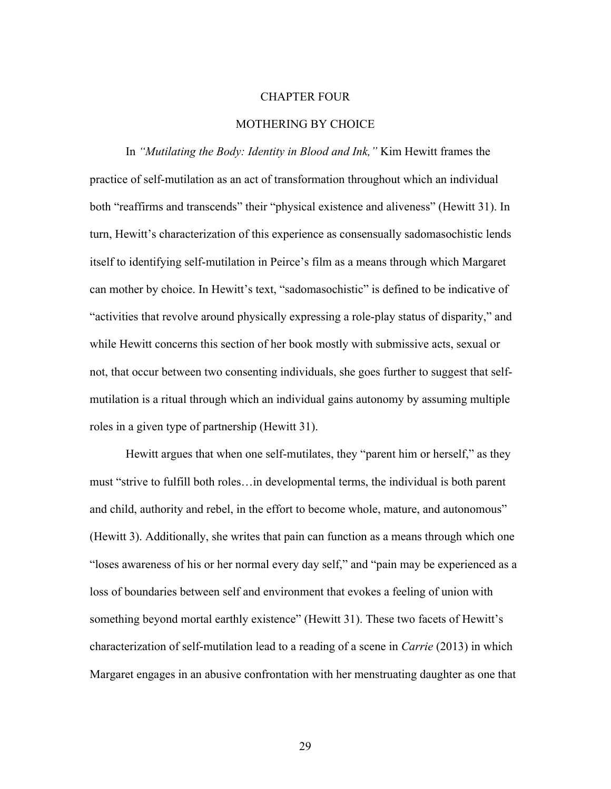# CHAPTER FOUR

# MOTHERING BY CHOICE

In *"Mutilating the Body: Identity in Blood and Ink,"* Kim Hewitt frames the practice of self-mutilation as an act of transformation throughout which an individual both "reaffirms and transcends" their "physical existence and aliveness" (Hewitt 31). In turn, Hewitt's characterization of this experience as consensually sadomasochistic lends itself to identifying self-mutilation in Peirce's film as a means through which Margaret can mother by choice. In Hewitt's text, "sadomasochistic" is defined to be indicative of "activities that revolve around physically expressing a role-play status of disparity," and while Hewitt concerns this section of her book mostly with submissive acts, sexual or not, that occur between two consenting individuals, she goes further to suggest that selfmutilation is a ritual through which an individual gains autonomy by assuming multiple roles in a given type of partnership (Hewitt 31).

Hewitt argues that when one self-mutilates, they "parent him or herself," as they must "strive to fulfill both roles…in developmental terms, the individual is both parent and child, authority and rebel, in the effort to become whole, mature, and autonomous" (Hewitt 3). Additionally, she writes that pain can function as a means through which one "loses awareness of his or her normal every day self," and "pain may be experienced as a loss of boundaries between self and environment that evokes a feeling of union with something beyond mortal earthly existence" (Hewitt 31). These two facets of Hewitt's characterization of self-mutilation lead to a reading of a scene in *Carrie* (2013) in which Margaret engages in an abusive confrontation with her menstruating daughter as one that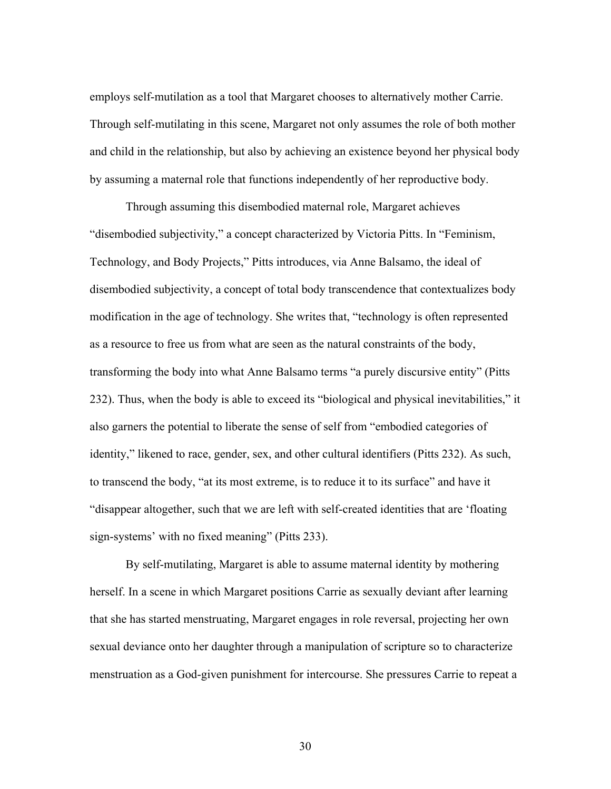employs self-mutilation as a tool that Margaret chooses to alternatively mother Carrie. Through self-mutilating in this scene, Margaret not only assumes the role of both mother and child in the relationship, but also by achieving an existence beyond her physical body by assuming a maternal role that functions independently of her reproductive body.

Through assuming this disembodied maternal role, Margaret achieves "disembodied subjectivity," a concept characterized by Victoria Pitts. In "Feminism, Technology, and Body Projects," Pitts introduces, via Anne Balsamo, the ideal of disembodied subjectivity, a concept of total body transcendence that contextualizes body modification in the age of technology. She writes that, "technology is often represented as a resource to free us from what are seen as the natural constraints of the body, transforming the body into what Anne Balsamo terms "a purely discursive entity" (Pitts 232). Thus, when the body is able to exceed its "biological and physical inevitabilities," it also garners the potential to liberate the sense of self from "embodied categories of identity," likened to race, gender, sex, and other cultural identifiers (Pitts 232). As such, to transcend the body, "at its most extreme, is to reduce it to its surface" and have it "disappear altogether, such that we are left with self-created identities that are 'floating sign-systems' with no fixed meaning" (Pitts 233).

By self-mutilating, Margaret is able to assume maternal identity by mothering herself. In a scene in which Margaret positions Carrie as sexually deviant after learning that she has started menstruating, Margaret engages in role reversal, projecting her own sexual deviance onto her daughter through a manipulation of scripture so to characterize menstruation as a God-given punishment for intercourse. She pressures Carrie to repeat a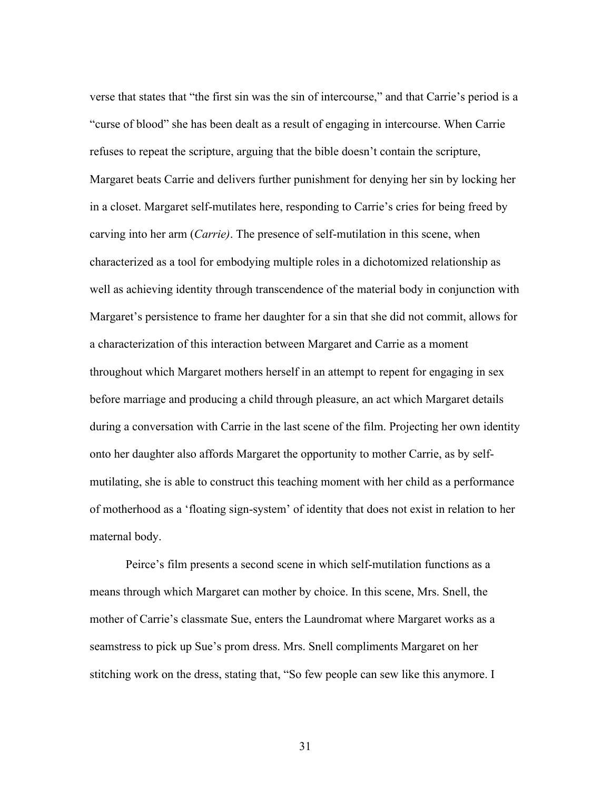verse that states that "the first sin was the sin of intercourse," and that Carrie's period is a "curse of blood" she has been dealt as a result of engaging in intercourse. When Carrie refuses to repeat the scripture, arguing that the bible doesn't contain the scripture, Margaret beats Carrie and delivers further punishment for denying her sin by locking her in a closet. Margaret self-mutilates here, responding to Carrie's cries for being freed by carving into her arm (*Carrie)*. The presence of self-mutilation in this scene, when characterized as a tool for embodying multiple roles in a dichotomized relationship as well as achieving identity through transcendence of the material body in conjunction with Margaret's persistence to frame her daughter for a sin that she did not commit, allows for a characterization of this interaction between Margaret and Carrie as a moment throughout which Margaret mothers herself in an attempt to repent for engaging in sex before marriage and producing a child through pleasure, an act which Margaret details during a conversation with Carrie in the last scene of the film. Projecting her own identity onto her daughter also affords Margaret the opportunity to mother Carrie, as by selfmutilating, she is able to construct this teaching moment with her child as a performance of motherhood as a 'floating sign-system' of identity that does not exist in relation to her maternal body.

Peirce's film presents a second scene in which self-mutilation functions as a means through which Margaret can mother by choice. In this scene, Mrs. Snell, the mother of Carrie's classmate Sue, enters the Laundromat where Margaret works as a seamstress to pick up Sue's prom dress. Mrs. Snell compliments Margaret on her stitching work on the dress, stating that, "So few people can sew like this anymore. I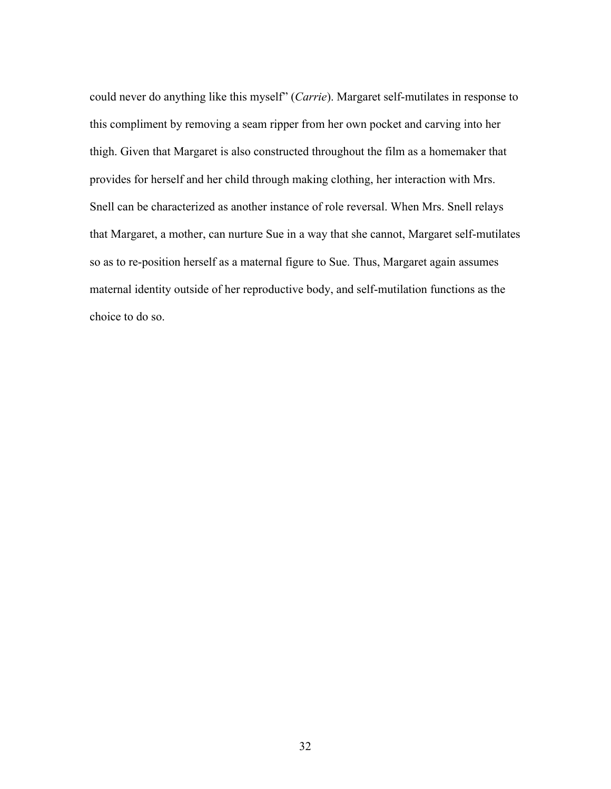could never do anything like this myself" (*Carrie*). Margaret self-mutilates in response to this compliment by removing a seam ripper from her own pocket and carving into her thigh. Given that Margaret is also constructed throughout the film as a homemaker that provides for herself and her child through making clothing, her interaction with Mrs. Snell can be characterized as another instance of role reversal. When Mrs. Snell relays that Margaret, a mother, can nurture Sue in a way that she cannot, Margaret self-mutilates so as to re-position herself as a maternal figure to Sue. Thus, Margaret again assumes maternal identity outside of her reproductive body, and self-mutilation functions as the choice to do so.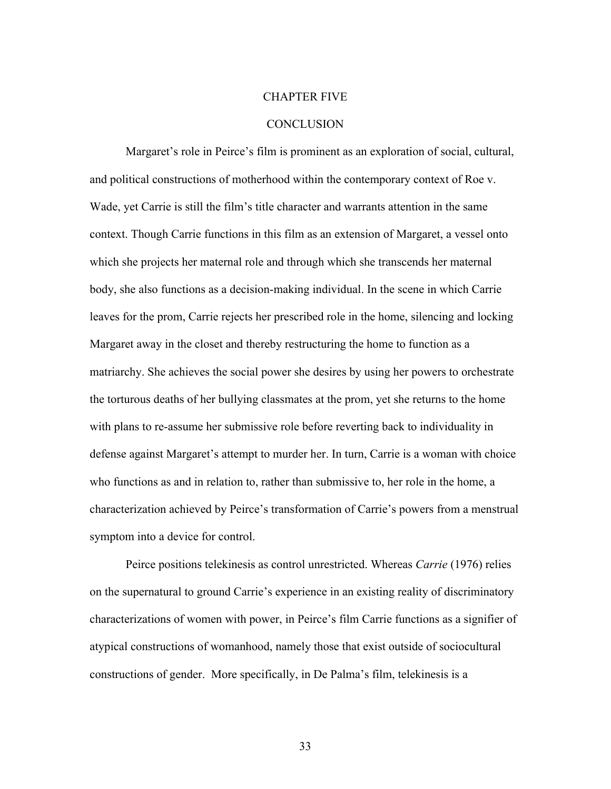#### CHAPTER FIVE

# **CONCLUSION**

Margaret's role in Peirce's film is prominent as an exploration of social, cultural, and political constructions of motherhood within the contemporary context of Roe v. Wade, yet Carrie is still the film's title character and warrants attention in the same context. Though Carrie functions in this film as an extension of Margaret, a vessel onto which she projects her maternal role and through which she transcends her maternal body, she also functions as a decision-making individual. In the scene in which Carrie leaves for the prom, Carrie rejects her prescribed role in the home, silencing and locking Margaret away in the closet and thereby restructuring the home to function as a matriarchy. She achieves the social power she desires by using her powers to orchestrate the torturous deaths of her bullying classmates at the prom, yet she returns to the home with plans to re-assume her submissive role before reverting back to individuality in defense against Margaret's attempt to murder her. In turn, Carrie is a woman with choice who functions as and in relation to, rather than submissive to, her role in the home, a characterization achieved by Peirce's transformation of Carrie's powers from a menstrual symptom into a device for control.

Peirce positions telekinesis as control unrestricted. Whereas *Carrie* (1976) relies on the supernatural to ground Carrie's experience in an existing reality of discriminatory characterizations of women with power, in Peirce's film Carrie functions as a signifier of atypical constructions of womanhood, namely those that exist outside of sociocultural constructions of gender. More specifically, in De Palma's film, telekinesis is a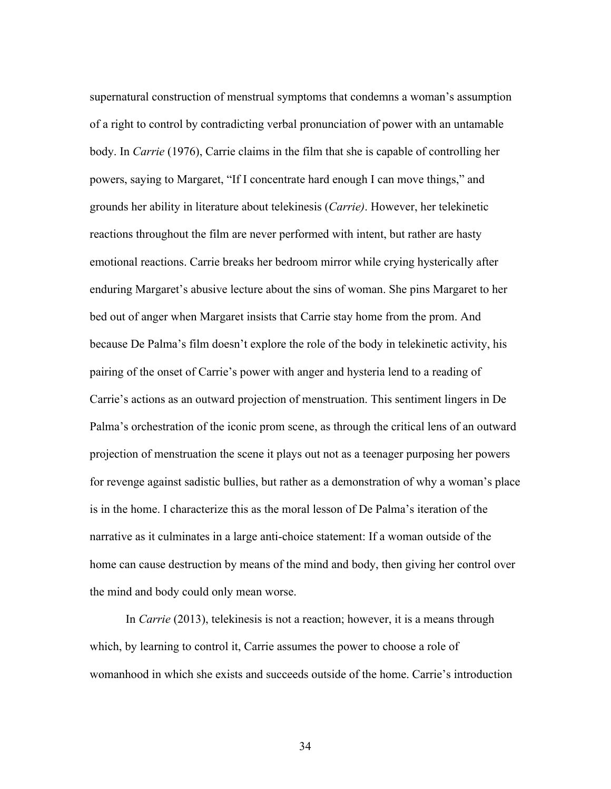supernatural construction of menstrual symptoms that condemns a woman's assumption of a right to control by contradicting verbal pronunciation of power with an untamable body. In *Carrie* (1976), Carrie claims in the film that she is capable of controlling her powers, saying to Margaret, "If I concentrate hard enough I can move things," and grounds her ability in literature about telekinesis (*Carrie)*. However, her telekinetic reactions throughout the film are never performed with intent, but rather are hasty emotional reactions. Carrie breaks her bedroom mirror while crying hysterically after enduring Margaret's abusive lecture about the sins of woman. She pins Margaret to her bed out of anger when Margaret insists that Carrie stay home from the prom. And because De Palma's film doesn't explore the role of the body in telekinetic activity, his pairing of the onset of Carrie's power with anger and hysteria lend to a reading of Carrie's actions as an outward projection of menstruation. This sentiment lingers in De Palma's orchestration of the iconic prom scene, as through the critical lens of an outward projection of menstruation the scene it plays out not as a teenager purposing her powers for revenge against sadistic bullies, but rather as a demonstration of why a woman's place is in the home. I characterize this as the moral lesson of De Palma's iteration of the narrative as it culminates in a large anti-choice statement: If a woman outside of the home can cause destruction by means of the mind and body, then giving her control over the mind and body could only mean worse.

In *Carrie* (2013), telekinesis is not a reaction; however, it is a means through which, by learning to control it, Carrie assumes the power to choose a role of womanhood in which she exists and succeeds outside of the home. Carrie's introduction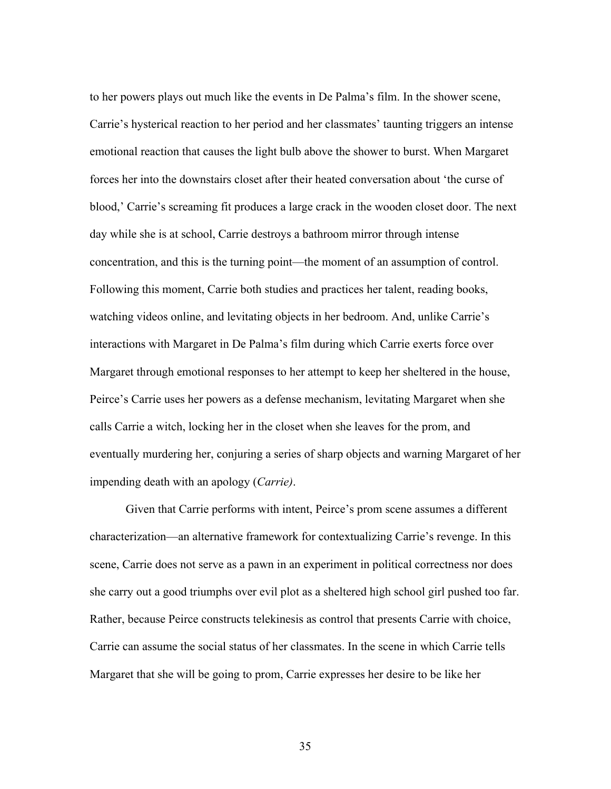to her powers plays out much like the events in De Palma's film. In the shower scene, Carrie's hysterical reaction to her period and her classmates' taunting triggers an intense emotional reaction that causes the light bulb above the shower to burst. When Margaret forces her into the downstairs closet after their heated conversation about 'the curse of blood,' Carrie's screaming fit produces a large crack in the wooden closet door. The next day while she is at school, Carrie destroys a bathroom mirror through intense concentration, and this is the turning point—the moment of an assumption of control. Following this moment, Carrie both studies and practices her talent, reading books, watching videos online, and levitating objects in her bedroom. And, unlike Carrie's interactions with Margaret in De Palma's film during which Carrie exerts force over Margaret through emotional responses to her attempt to keep her sheltered in the house, Peirce's Carrie uses her powers as a defense mechanism, levitating Margaret when she calls Carrie a witch, locking her in the closet when she leaves for the prom, and eventually murdering her, conjuring a series of sharp objects and warning Margaret of her impending death with an apology (*Carrie)*.

Given that Carrie performs with intent, Peirce's prom scene assumes a different characterization—an alternative framework for contextualizing Carrie's revenge. In this scene, Carrie does not serve as a pawn in an experiment in political correctness nor does she carry out a good triumphs over evil plot as a sheltered high school girl pushed too far. Rather, because Peirce constructs telekinesis as control that presents Carrie with choice, Carrie can assume the social status of her classmates. In the scene in which Carrie tells Margaret that she will be going to prom, Carrie expresses her desire to be like her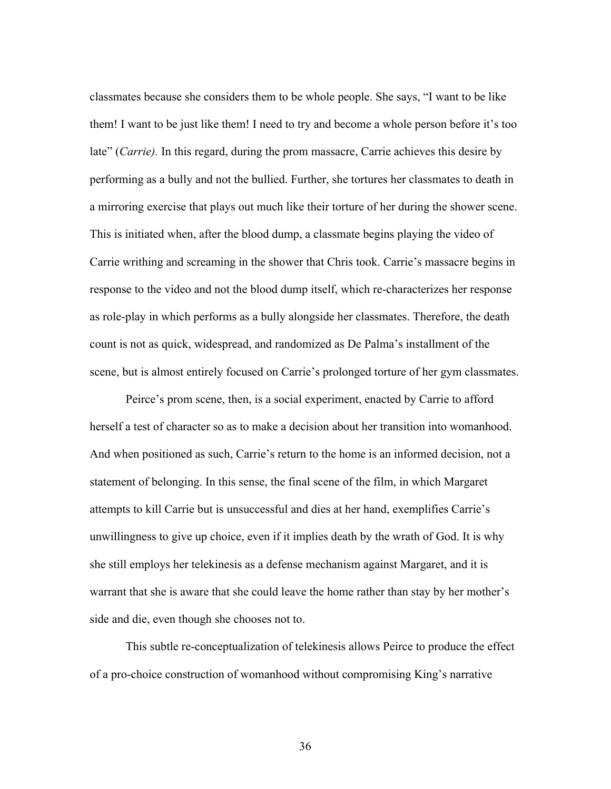classmates because she considers them to be whole people. She says, "I want to be like them! I want to be just like them! I need to try and become a whole person before it's too late" (*Carrie).* In this regard, during the prom massacre, Carrie achieves this desire by performing as a bully and not the bullied. Further, she tortures her classmates to death in a mirroring exercise that plays out much like their torture of her during the shower scene. This is initiated when, after the blood dump, a classmate begins playing the video of Carrie writhing and screaming in the shower that Chris took. Carrie's massacre begins in response to the video and not the blood dump itself, which re-characterizes her response as role-play in which performs as a bully alongside her classmates. Therefore, the death count is not as quick, widespread, and randomized as De Palma's installment of the scene, but is almost entirely focused on Carrie's prolonged torture of her gym classmates.

Peirce's prom scene, then, is a social experiment, enacted by Carrie to afford herself a test of character so as to make a decision about her transition into womanhood. And when positioned as such, Carrie's return to the home is an informed decision, not a statement of belonging. In this sense, the final scene of the film, in which Margaret attempts to kill Carrie but is unsuccessful and dies at her hand, exemplifies Carrie's unwillingness to give up choice, even if it implies death by the wrath of God. It is why she still employs her telekinesis as a defense mechanism against Margaret, and it is warrant that she is aware that she could leave the home rather than stay by her mother's side and die, even though she chooses not to.

This subtle re-conceptualization of telekinesis allows Peirce to produce the effect of a pro-choice construction of womanhood without compromising King's narrative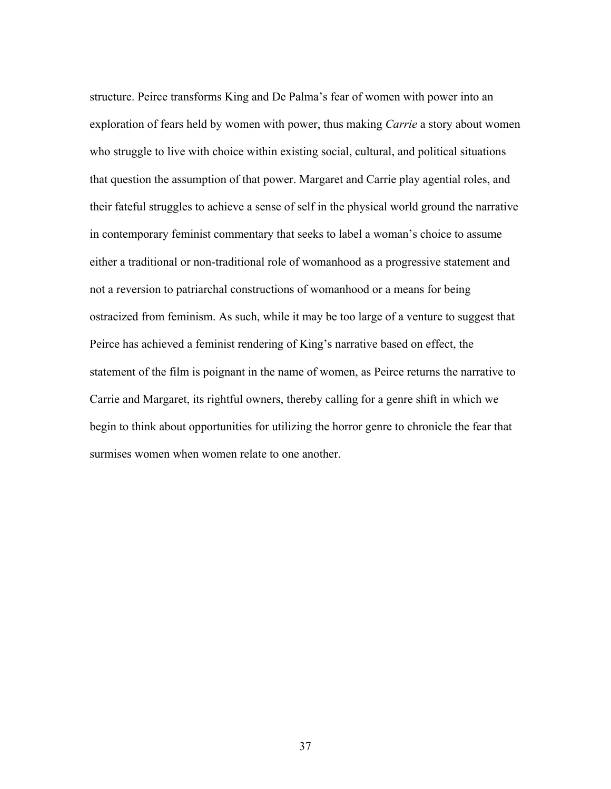structure. Peirce transforms King and De Palma's fear of women with power into an exploration of fears held by women with power, thus making *Carrie* a story about women who struggle to live with choice within existing social, cultural, and political situations that question the assumption of that power. Margaret and Carrie play agential roles, and their fateful struggles to achieve a sense of self in the physical world ground the narrative in contemporary feminist commentary that seeks to label a woman's choice to assume either a traditional or non-traditional role of womanhood as a progressive statement and not a reversion to patriarchal constructions of womanhood or a means for being ostracized from feminism. As such, while it may be too large of a venture to suggest that Peirce has achieved a feminist rendering of King's narrative based on effect, the statement of the film is poignant in the name of women, as Peirce returns the narrative to Carrie and Margaret, its rightful owners, thereby calling for a genre shift in which we begin to think about opportunities for utilizing the horror genre to chronicle the fear that surmises women when women relate to one another.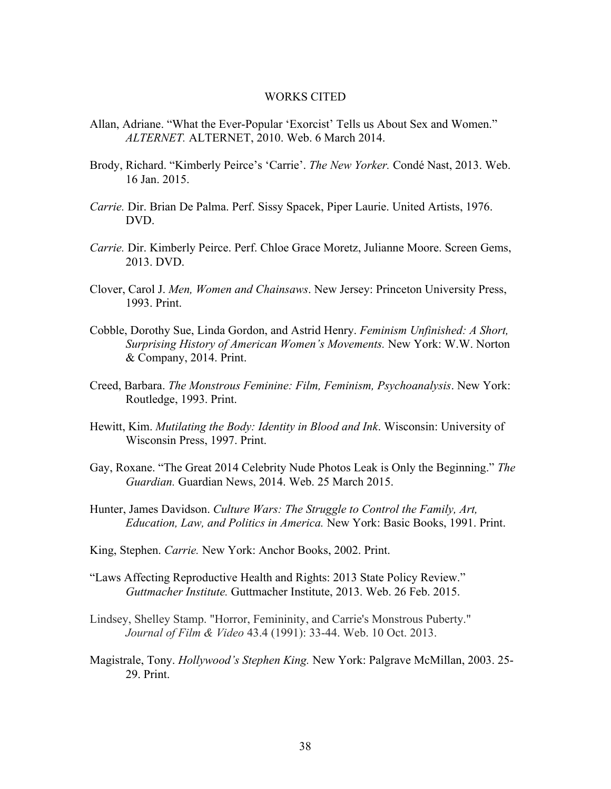#### WORKS CITED

- Allan, Adriane. "What the Ever-Popular 'Exorcist' Tells us About Sex and Women." *ALTERNET.* ALTERNET, 2010. Web. 6 March 2014.
- Brody, Richard. "Kimberly Peirce's 'Carrie'. *The New Yorker.* Condé Nast, 2013. Web. 16 Jan. 2015.
- *Carrie.* Dir. Brian De Palma. Perf. Sissy Spacek, Piper Laurie. United Artists, 1976. DVD.
- *Carrie.* Dir. Kimberly Peirce. Perf. Chloe Grace Moretz, Julianne Moore. Screen Gems, 2013. DVD.
- Clover, Carol J. *Men, Women and Chainsaws*. New Jersey: Princeton University Press, 1993. Print.
- Cobble, Dorothy Sue, Linda Gordon, and Astrid Henry. *Feminism Unfinished: A Short, Surprising History of American Women's Movements.* New York: W.W. Norton & Company, 2014. Print.
- Creed, Barbara. *The Monstrous Feminine: Film, Feminism, Psychoanalysis*. New York: Routledge, 1993. Print.
- Hewitt, Kim. *Mutilating the Body: Identity in Blood and Ink*. Wisconsin: University of Wisconsin Press, 1997. Print.
- Gay, Roxane. "The Great 2014 Celebrity Nude Photos Leak is Only the Beginning." *The Guardian.* Guardian News, 2014. Web. 25 March 2015.
- Hunter, James Davidson. *Culture Wars: The Struggle to Control the Family, Art, Education, Law, and Politics in America.* New York: Basic Books, 1991. Print.
- King, Stephen. *Carrie.* New York: Anchor Books, 2002. Print.
- "Laws Affecting Reproductive Health and Rights: 2013 State Policy Review." *Guttmacher Institute.* Guttmacher Institute, 2013. Web. 26 Feb. 2015.
- Lindsey, Shelley Stamp. "Horror, Femininity, and Carrie's Monstrous Puberty." *Journal of Film & Video* 43.4 (1991): 33-44. Web. 10 Oct. 2013.
- Magistrale, Tony. *Hollywood's Stephen King.* New York: Palgrave McMillan, 2003. 25- 29. Print.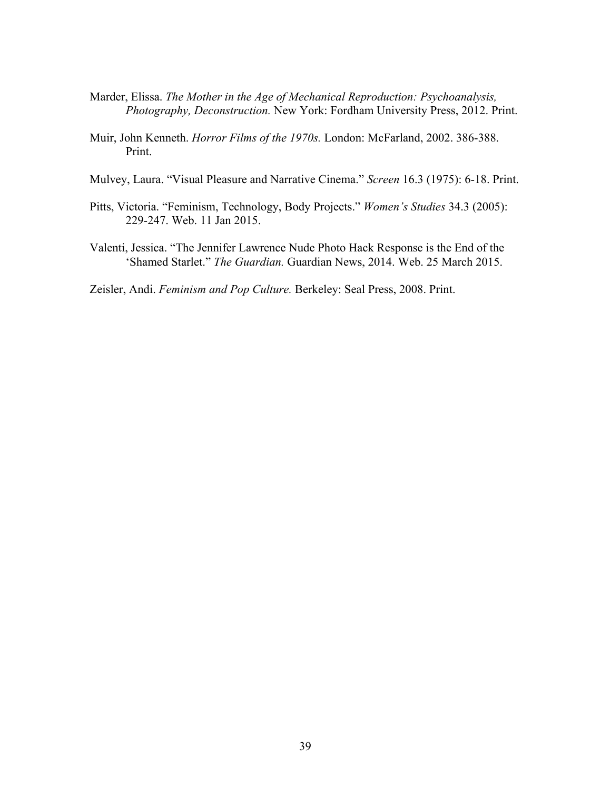- Marder, Elissa. *The Mother in the Age of Mechanical Reproduction: Psychoanalysis, Photography, Deconstruction.* New York: Fordham University Press, 2012. Print.
- Muir, John Kenneth. *Horror Films of the 1970s.* London: McFarland, 2002. 386-388. Print.
- Mulvey, Laura. "Visual Pleasure and Narrative Cinema." *Screen* 16.3 (1975): 6-18. Print.
- Pitts, Victoria. "Feminism, Technology, Body Projects." *Women's Studies* 34.3 (2005): 229-247. Web. 11 Jan 2015.
- Valenti, Jessica. "The Jennifer Lawrence Nude Photo Hack Response is the End of the 'Shamed Starlet." *The Guardian.* Guardian News, 2014. Web. 25 March 2015.

Zeisler, Andi. *Feminism and Pop Culture.* Berkeley: Seal Press, 2008. Print.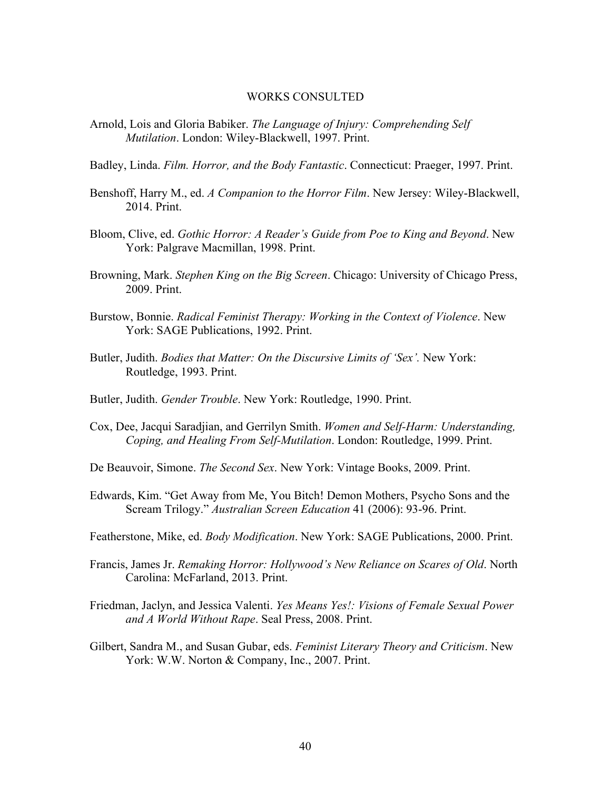#### WORKS CONSULTED

- Arnold, Lois and Gloria Babiker. *The Language of Injury: Comprehending Self Mutilation*. London: Wiley-Blackwell, 1997. Print.
- Badley, Linda. *Film. Horror, and the Body Fantastic*. Connecticut: Praeger, 1997. Print.
- Benshoff, Harry M., ed. *A Companion to the Horror Film*. New Jersey: Wiley-Blackwell, 2014. Print.
- Bloom, Clive, ed. *Gothic Horror: A Reader's Guide from Poe to King and Beyond*. New York: Palgrave Macmillan, 1998. Print.
- Browning, Mark. *Stephen King on the Big Screen*. Chicago: University of Chicago Press, 2009. Print.
- Burstow, Bonnie. *Radical Feminist Therapy: Working in the Context of Violence*. New York: SAGE Publications, 1992. Print.
- Butler, Judith. *Bodies that Matter: On the Discursive Limits of 'Sex'*. New York: Routledge, 1993. Print.
- Butler, Judith. *Gender Trouble*. New York: Routledge, 1990. Print.
- Cox, Dee, Jacqui Saradjian, and Gerrilyn Smith. *Women and Self-Harm: Understanding, Coping, and Healing From Self-Mutilation*. London: Routledge, 1999. Print.
- De Beauvoir, Simone. *The Second Sex*. New York: Vintage Books, 2009. Print.
- Edwards, Kim. "Get Away from Me, You Bitch! Demon Mothers, Psycho Sons and the Scream Trilogy." *Australian Screen Education* 41 (2006): 93-96. Print.
- Featherstone, Mike, ed. *Body Modification*. New York: SAGE Publications, 2000. Print.
- Francis, James Jr. *Remaking Horror: Hollywood's New Reliance on Scares of Old*. North Carolina: McFarland, 2013. Print.
- Friedman, Jaclyn, and Jessica Valenti. *Yes Means Yes!: Visions of Female Sexual Power and A World Without Rape*. Seal Press, 2008. Print.
- Gilbert, Sandra M., and Susan Gubar, eds. *Feminist Literary Theory and Criticism*. New York: W.W. Norton & Company, Inc., 2007. Print.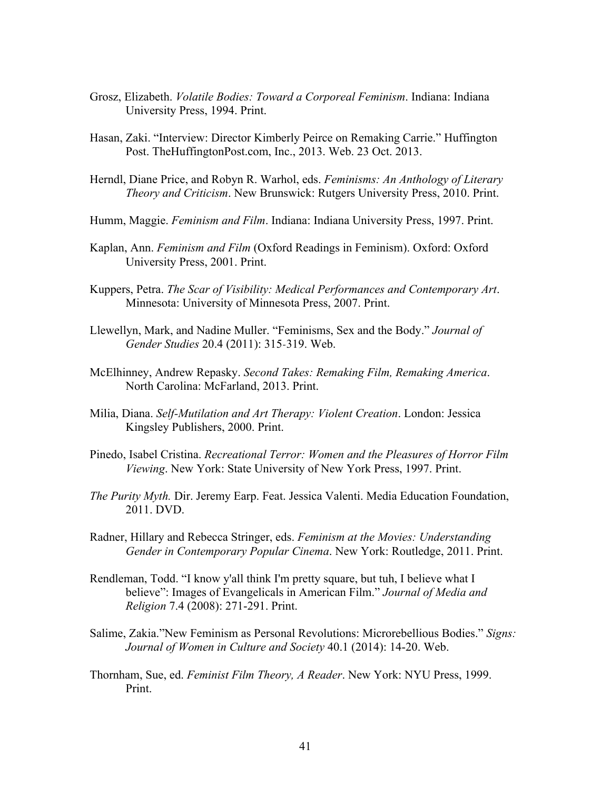- Grosz, Elizabeth. *Volatile Bodies: Toward a Corporeal Feminism*. Indiana: Indiana University Press, 1994. Print.
- Hasan, Zaki. "Interview: Director Kimberly Peirce on Remaking Carrie." Huffington Post. TheHuffingtonPost.com, Inc., 2013. Web. 23 Oct. 2013.
- Herndl, Diane Price, and Robyn R. Warhol, eds. *Feminisms: An Anthology of Literary Theory and Criticism*. New Brunswick: Rutgers University Press, 2010. Print.
- Humm, Maggie. *Feminism and Film*. Indiana: Indiana University Press, 1997. Print.
- Kaplan, Ann. *Feminism and Film* (Oxford Readings in Feminism). Oxford: Oxford University Press, 2001. Print.
- Kuppers, Petra. *The Scar of Visibility: Medical Performances and Contemporary Art*. Minnesota: University of Minnesota Press, 2007. Print.
- Llewellyn, Mark, and Nadine Muller. "Feminisms, Sex and the Body." *Journal of Gender Studies* 20.4 (2011): 315‐319. Web.
- McElhinney, Andrew Repasky. *Second Takes: Remaking Film, Remaking America*. North Carolina: McFarland, 2013. Print.
- Milia, Diana. *Self-Mutilation and Art Therapy: Violent Creation*. London: Jessica Kingsley Publishers, 2000. Print.
- Pinedo, Isabel Cristina. *Recreational Terror: Women and the Pleasures of Horror Film Viewing*. New York: State University of New York Press, 1997. Print.
- *The Purity Myth.* Dir. Jeremy Earp. Feat. Jessica Valenti. Media Education Foundation, 2011. DVD.
- Radner, Hillary and Rebecca Stringer, eds. *Feminism at the Movies: Understanding Gender in Contemporary Popular Cinema*. New York: Routledge, 2011. Print.
- Rendleman, Todd. "I know y'all think I'm pretty square, but tuh, I believe what I believe": Images of Evangelicals in American Film." *Journal of Media and Religion* 7.4 (2008): 271-291. Print.
- Salime, Zakia."New Feminism as Personal Revolutions: Microrebellious Bodies." *Signs: Journal of Women in Culture and Society* 40.1 (2014): 14-20. Web.
- Thornham, Sue, ed. *Feminist Film Theory, A Reader*. New York: NYU Press, 1999. Print.